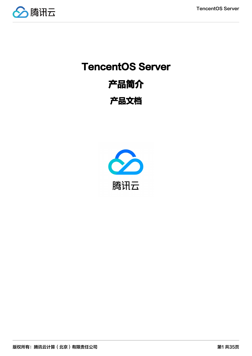

# TencentOS Server 产品简介 产品文档

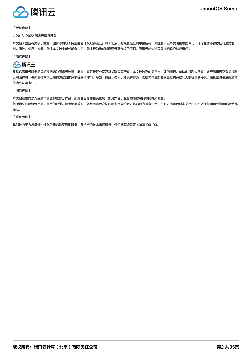

#### 【版权声明】

#### ©2013-2022 腾讯云版权所有

本文档(含所有文字、数据、图片等内容)完整的著作权归腾讯云计算(北京)有限责任公司单独所有,未经腾讯云事先明确书面许可,任何主体不得以任何形式复 制、修改、使用、抄袭、传播本文档全部或部分内容。前述行为构成对腾讯云著作权的侵犯,腾讯云将依法采取措施追究法律责任。

【商标声明】

# ◇腾讯云

及其它腾讯云服务相关的商标均为腾讯云计算(北京)有限责任公司及其关联公司所有。本文档涉及的第三方主体的商标,依法由权利人所有。未经腾讯云及有关权利 人书面许可,任何主体不得以任何方式对前述商标进行使用、复制、修改、传播、抄录等行为,否则将构成对腾讯云及有关权利人商标权的侵犯,腾讯云将依法采取措 施追究法律责任。

【服务声明】

本文档意在向您介绍腾讯云全部或部分产品、服务的当时的相关概况,部分产品、服务的内容可能不时有所调整。 您所购买的腾讯云产品、服务的种类、服务标准等应由您与腾讯云之间的商业合同约定,除非双方另有约定,否则,腾讯云对本文档内容不做任何明示或默示的承诺或 保证。

【联系我们】

我们致力于为您提供个性化的售前购买咨询服务,及相应的技术售后服务,任何问题请联系 4009100100。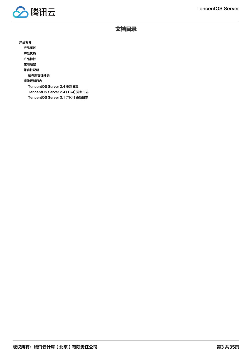

文档目录

[产品简介](#page-3-0) [产品概述](#page-3-1) [产品优势](#page-4-0) [产品特性](#page-5-0) [应用场景](#page-7-0) [兼容性说明](#page-8-0) [硬件兼容性列表](#page-8-1) [镜像更新日志](#page-32-0) [TencentOS Server 2.4 更新日志](#page-32-1) [TencentOS Server 2.4 \(TK4\) 更新日志](#page-33-0) [TencentOS Server 3.1 \(TK4\) 更新日志](#page-34-0)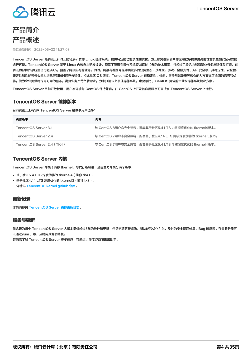

<span id="page-3-1"></span><span id="page-3-0"></span>

最近更新时间:2022-06-22 11:27:03

TencentOS Server 是腾讯云针对云的场景研发的 Linux 操作系统,提供特定的功能及性能优化,为云服务器实例中的应用程序提供更高的性能及更加安全可靠的 运行环境。TencentOS Server 基于 Linux 内核自主研发设计,积累了腾讯在操作系统领域超过10年的技术积累,并经过了腾讯内部海量业务多年验证和打磨,在 腾讯内部操作系统里占比超99%,覆盖了腾讯所有的业务。同时,腾讯有着国内最种类繁多的业务生态,从社交、游戏、金融支付、AI、安全等,其稳定性、安全性、 兼容性和性能等核心能力均已得到长时间充分验证,相比社区 OS 版本,TencentOS Server 在稳定性、性能、容器基础设施等核心能力方面做了全面的增强和优 化,能为企业提供稳定高可用的服务,满足业务严苛负载需求,力求打造云上最佳操作系统,也是相比于 CentOS 更佳的企业级操作系统解决方案。

TencentOS Server 目前开放使用,用户态环境与 CentOS 保持兼容, 在 CentOS 上开发的应用程序可直接在 TencentOS Server 上运行。

# TencentOS Server 镜像版本

目前腾讯云上有3款 TencentOS Server 镜像供用户选择:

| 镜像版本                       | 说明                                                   |
|----------------------------|------------------------------------------------------|
| TencentOS Server 3.1       | 与 CentOS 8用户态完全兼容,配套基于社区5.4 LTS 内核深度优化的 tkernel4版本。  |
| TencentOS Server 2.4       | 与 CentOS 7用户态完全兼容,配套基于社区4.14 LTS 内核深度优化的 tkernel3版本。 |
| TencentOS Server 2.4 (TK4) | 与 CentOS 7用户态完全兼容,配套基于社区5.4 LTS 内核深度优化的 tkernel4版本。  |

# TencentOS Server 内核

TencentOS Server 内核(简称 tkernel)与发行版解耦,当前主力内核分两个版本,

- 基于社区5.4 LTS 深度优化的 tkernel4(简称 tk4)。
- 基于社区4.14 LTS 深度优化的 tkernel3(简称 tk3)。 详情见 [TencentOS kernel github 仓库。](https://github.com/Tencent/TencentOS-kernel)

### 更新记录

详情请参见 [TencentOS Server 镜像更新日志。](https://cloud.tencent.com/document/product/1397/72789)

### 服务与更新

腾讯云为每个 TencentOS Server 大版本提供超过5年的维护和更新,包括定期更新镜像、新功能和优化引入、及时的安全漏洞修复、Bug 修复等。存量服务器可 以通过vum 升级,及时完成漏洞修复。

若您需了解 TencentOS Server 更多信息,可通过小程序咨询腾讯云助手。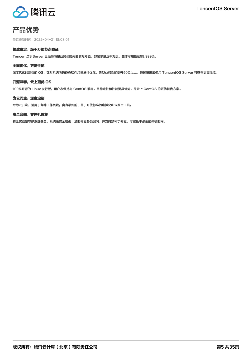

# <span id="page-4-0"></span>产品优势

最近更新时间:2022-04-21 18:03:01

### 极致稳定,经千万级节点验证

TencentOS Server 已经历海量业务长时间的实际考验,部署总量达干万级,整体可用性达99.999%。

### 全面优化,更高性能

深度优化的高性能 OS,针对系统内的各类软件均已进行优化,典型业务性能提升50%以上,通过腾讯云使用 TencentOS Server 可获得更高性能。

### 开源兼容,云上更优 OS

100%开源的 Linux 发行版,用户态保持与 CentOS 兼容,且稳定性和性能更具优势,是云上 CentOS 的更优替代方案。

### 为云而生,深度定制

专为云开发,适用于各种工作负载,含有最新的、基于开放标准的虚拟化和云原生工具。

### 安全合规,零停机修复

安全实验室守护系统安全,系统级安全增强,及时修复各类漏洞,并支持热补丁修复,可避免不必要的停机时间。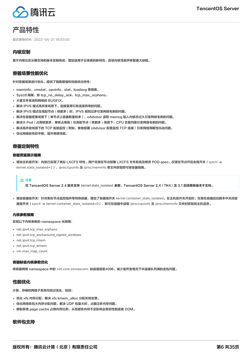

# <span id="page-5-0"></span>产品特性

最近更新时间:2022-04-21 18:03:05

### 内核定制

基于内核社区长期支持的版本定制而成,增加适用于云场景的新特性、改进内核性能并修复重大缺陷。

### 容器场景性能优化

针对容器场景进行优化,提供了隔离增强和性能优化特性:

- meminfo、vmstat、cpuinfo、stat、loadavg 等隔离。
- Svsctl 隔离, 如 tcp\_no\_delay\_ack、tcp\_max\_orphans。
- 大量文件系统和网络的 BUGFIX。
- 解决 IPVS 模式高并发场景下,连接复用引发连接异常的问题。
- 解决 IPVS 模式在高配节点(核数多)时,IPVS 规则过多引发网络毛刺的问题。
- 解决在容器密集场景下(单节点上容器数量较多),cAdvisor 读取 memcg 陷入内核态过久引发网络毛刺的问题。
- 解决大 Pod(占用核数多,单核占用高)在高配节点(核数多)场景下,CPU 负载均衡引发网络毛刺的问题。
- 解决高并发场景下的 TCP 连接监控(例如,单独部署 cAdvisor 配置监控 TCP 连接)引发网络周期性抖动问题。
- 优化网络收包软中断,提升网络性能。

### 容器定制特性

#### 容器资源展示隔离

• 增加主机级开关:内核已实现了类似 LXCFS 特性。用户无需在节点部署 LXCFS 文件系统及修改 POD spec,仅需在节点开启全局开关 (sysctl -w kernel.stats\_isolated=1), /proc/cpuinfo 及 /proc/meminfo 等文件获取即可按容器隔离。

#### 注意

仅 TencentOS Server 2.4 版本支持 kernel.stats\_isolated 参数, TencentOS Server 2.4 (TK4)及 3.1 后续更新版本不支持。

• 增加容器级开关:针对类似节点监控组件等特殊容器,增加了容器级开关 kernel.container\_stats\_isolated。在主机级开关开启时,仅需在容器启动脚本中关闭容 器级开关(sysctl -w kernel.container\_stats\_isolated=0),即可在容器中读取 /proc/cpuinfo 及 /proc/meminfo 文件时获取到主机信息。

### 内核参数隔离

实现以下内核参数的 namespace 化隔离:

- net.ipv4.tcp max orphans
- net.ipv4.tcp\_workaround\_signed\_windows
- net.ipv4.tcp\_rmem
- net.ipv4.tcp\_wmem
- vm.max\_map\_count

### 容器缺省内核参数优化

将容器网络 namespace 中的 net.core.somaxconn 缺省值调至4096,减少高并发情况下半连接队列满的丢包问题。

### 性能优化

计算、存储和网络子系统均经过优化,包括:

- 优化 xfs 内存分配,解决 xfs kmem\_alloc 分配失败告警。
- 优化网络收包大内存分配问题,解决 UDP 包量大时,占据过多内存问题。
- 限制系统 page cache 占用内存比例,从而避免内存不足影响业务的性能或者 OOM。

### 软件包支持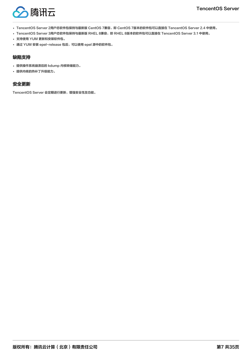

- TencentOS Server 2用户态软件包保持与最新版 CentOS 7兼容,即 CentOS 7版本的软件包可以直接在 TencentOS Server 2.4 中使用。
- TencentOS Server 3用户态软件包保持与最新版 RHEL 8兼容,即 RHEL 8版本的软件包可以直接在 TencentOS Server 3.1 中使用。
- 支持使用 YUM 更新和安装软件包。
- 通过 YUM 安装 epel-release 包后,可以使用 epel 源中的软件包。

### 缺陷支持

- 提供操作系统崩溃后的 kdump 内核转储能力。
- 提供内核的热补丁升级能力。

### 安全更新

TencentOS Server 会定期进行更新,增强安全性及功能。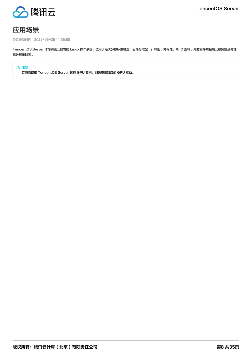

# <span id="page-7-0"></span>应用场景

最近更新时间:2022-05-25 14:56:58

TencentOS Server 作为腾讯云研发的 Linux 操作系统,适用于绝大多数标准机型,包括标准型、计算型、内存性、高 IO 型等。同时支持裸金属云服务器及高性 能计算集群等。

### 注意

若您需使用 TencentOS Server 运行 GPU 实例,则请安装对应的 GPU 驱动。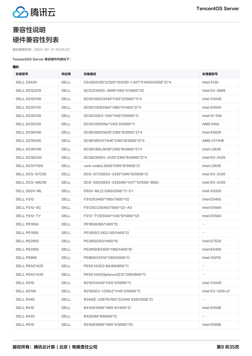

# <span id="page-8-1"></span><span id="page-8-0"></span>兼容性说明 硬件兼容性列表

最近更新时间:2022-04-21 18:03:22

### TencentOS Server 兼容硬件列表如下:

### 整机

| 标准型号                 | 供应商         | 设备描述                                           | 处理器型号                    |
|----------------------|-------------|------------------------------------------------|--------------------------|
| <b>DELL C6420</b>    | <b>DELL</b> | C6420(5120*2/32G*12/SSD-1.92T*6 RAID/25GE*2)*4 | <b>Intel 5120</b>        |
| DELL DCS2210         | <b>DELL</b> | DCS2210(E5-2609*1/8G*4/300G*12)                | Intel E5-2609            |
| <b>DELL DCS5100</b>  | <b>DELL</b> | DCS5100(X3440*1/4G*2/500G*1)*4                 | Intel $X3440$            |
| DELL DCS5110         | <b>DELL</b> | DCS5110(E5504*1/8G*4/146G*2)*4                 | Intel E5504              |
| DELL DCS5120         | <b>DELL</b> | DCS5120(i3-540*1/4G*2/500G*1)                  | Intel $i3-540$           |
| <b>DELL DCS5125</b>  | <b>DELL</b> | DCS5120(910e*1/4G*2/500G*1)                    | <b>AMD 910e</b>          |
| DELL DCS6100         | <b>DELL</b> | DCS6100(E5620*2/8G*8/300G*2)*4                 | Intel E5620              |
| DELL DCS6105         | <b>DELL</b> | DCS6105(4174HE*2/8G*8/300G*2)*4                | <b>AMD 4174HE</b>        |
| DELL DCS6130         | <b>DELL</b> | DCS6130(L5630*2/8G*8/300G*2)*4                 | Intel L5630              |
| DELL DCS6230         | <b>DELL</b> | DCS6230(E5-2420*2/8G*8/300G*2)*4               | Intel E5-2420            |
| <b>DELL DCS7110S</b> | <b>DELL</b> | rack node(L5630*2/8G*8/300G*2)                 | Intel L5630              |
| DELL DCS-G7230       | <b>DELL</b> | DCS-G7230(E5-2420*2/8G*8/300G*2)               | Intel E5-2420            |
| DELL DCS-G8230       | <b>DELL</b> | DCS-G8230(E5-2420/8G*4/2T*12/SSD-80G)          | Intel E5-2420            |
| <b>DELL DS24-ML</b>  | <b>DELL</b> | DS24-ML(2.5/8G/250G*1)-C1                      | Intel X3320              |
| <b>DELL FS12</b>     | <b>DELL</b> | FS12(E5405*1/8G/750G*12)                       | Intel E5405              |
| DELL FS12-SC         | <b>DELL</b> | FS12SC(2G/8G/750G*12)-A3                       | Intel E5504              |
| DELL FS12-TY         | <b>DELL</b> | FS12-TY(E5504*1/4G*8/146G*12)                  | Intel E5504              |
| DELL PE1850          | <b>DELL</b> | PE1850(/8G/146G*2)                             | $\qquad \qquad -$        |
| DELL PE1950          | <b>DELL</b> | PE1950(2.0G/2.0G/146G*2)                       | $\overline{\phantom{0}}$ |
| DELL PE2850          | <b>DELL</b> | PE2850(/6G/146G*6)                             | Intel E7520              |
| DELL PE2950          | <b>DELL</b> | PE2950(E5405*1/8G/146G*8)                      | Intel E5405              |
| DELL PE860           | <b>DELL</b> | PE860(X3210*1/8G/500G*1)                       | Intel X3210              |
| <b>DELL PESC1425</b> | DELL        | PESC1425(2.8G/8G/80G*1)                        |                          |
| <b>DELL PESC1435</b> | DELL        | PESC1435(Opteron2212*2/8G/80G*1)               |                          |
| DELL R210            | DELL        | R210(X3440*1/4G*2/500G*1)                      | Intel X3440              |
| DELL R210II          | DELL        | R210II(E3-1230v2*1/4G*2/500G*1)                | Intel E3-1230 v2         |
| DELL R340            | DELL        | R340(E-2287G/16G*2/240G SSD/10GE*2)            |                          |
| DELL R410            | <b>DELL</b> | R410(E5506*1/8G*4/146G*2)                      | Intel E5506              |
| DELL R420            | DELL        | R420(8G*8/600G*2)                              |                          |
| DELL R510            | DELL        | R510(E5606*1/8G*4/300G*12)                     | Intel E5606              |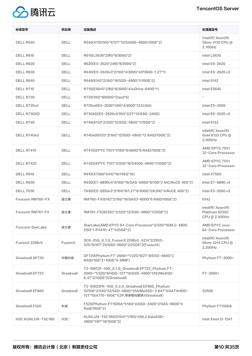

| 标准型号                     | 供应商              | 设备描述                                                                                                                                          | 处理器型号                                                    |
|--------------------------|------------------|-----------------------------------------------------------------------------------------------------------------------------------------------|----------------------------------------------------------|
| DELL R540                | <b>DELL</b>      | R540(4110/16G*4/12T*12/S4500-480G/10GE*2)                                                                                                     | $Intel(R)$ Xeon $(R)$<br>Silver 4110 CPU @<br>2.10GHz    |
| DELL R610                | <b>DELL</b>      | R610(L5630*2/8G*8/300G*2)                                                                                                                     | Intel L5630                                              |
| DELL R620                | <b>DELL</b>      | R620(E5-2620*2/8G*8/300G*2)                                                                                                                   | Intel E5-2620                                            |
| DELL R630                | <b>DELL</b>      | R630(E5-2620v3*2/16G*4/300G*4/P3600-1.2T*1)                                                                                                   | Intel E5-2620 v3                                         |
| DELL R640                | <b>DELL</b>      | R640(6142*2/16G*16/SSD-480G*1/10GE*2)                                                                                                         | <b>Intel 6142</b>                                        |
| DELL R710                | <b>DELL</b>      | R710(E5645*2/8G*8/300G*4/ioDrive-640G*1)                                                                                                      | Intel E5645                                              |
| DELL R720                | <b>DELL</b>      | R720(16G*8/600G*2/ssd*6)                                                                                                                      | $\overline{\phantom{0}}$                                 |
| DELL R720xd              | <b>DELL</b>      | R720xd(E5-2609*1/8G*4/300G*12)(USA)                                                                                                           | Intel E5-2609                                            |
| DELL R730XD              | <b>DELL</b>      | R730XD(E5-2620v3/16G*2/2T*12/SSD-240G)                                                                                                        | Intel E5-2620 v3                                         |
| DELL R740                | <b>DELL</b>      | R740(6133*2/32G*12/SSD-480G*1/10GE*2)                                                                                                         | <b>Intel 6133</b>                                        |
| DELL R740xd              | <b>DELL</b>      | R740xd(6133*2/16G*12/SSD-480G*12 RAID/10GE*2)                                                                                                 | $Intel(R)$ Xeon $(R)$<br>Gold 6133 CPU @<br>2.50GHz      |
| <b>DELL R7415</b>        | <b>DELL</b>      | R7415(EPYC 7551*1/16G*8/480G*6 RAID/10GE*2)                                                                                                   | AMD EPYC 7551<br>32-Core Processor                       |
| <b>DELL R7425</b>        | <b>DELL</b>      | R7425(EPYC 7551*2/32G*16/S4500-480G*1/10GE*2)                                                                                                 | AMD EPYC 7551<br>32-Core Processor                       |
| DELL R910                | <b>DELL</b>      | R910(X7560*4/4G*16/146G*16)                                                                                                                   | Intel X7560                                              |
| DELL R930                | <b>DELL</b>      | R930(E7-8890v4*4/16G*16/SAS-600G*8/10G*2 NIC/RoCE 40G*2)                                                                                      | Intel E7-8890 v4                                         |
| DELL T630                | <b>DELL</b>      | T630(E5-2650v3*2/16G*8/1.2T*6/300G*2/K20C*4/RoCE 40G*2)                                                                                       | Intel E5-2650 v3                                         |
| Foxconn RM760-FX         | 富士康              | RM760-FX(6142*2/16G*16/SAS3-600G*6 RAID/10GE*2)                                                                                               | 6142                                                     |
| Foxconn RM761-FX         | 富士康              | RM761-FX(8255C*2/32G*12/SSD-480G*1/25GE*2)                                                                                                    | $Intel(R)$ Xeon $(R)$<br>Platinum 8255C<br>CPU @ 2.50GHz |
| Foxconn StarLake         | 富士康              | StarLake(AMD EPYC 64-Core Processor*2/32G*16/M.2-480G<br>SSD*1/P4510-4T*1/25GE*2)                                                             | <b>AMD EPYC XXXX</b><br>64-Core Processor                |
| FusionX 2298v5           | FusionX          | SC6-25G_6.1.0_FusionX 2298v5_4214*2/2933-<br>32G*8/16T*24/SSD-960G*2/25GE*2(FusionX)                                                          | $Intel(R)$ Xeon $(R)$<br>Silver 4214 CPU @<br>2.20GHz    |
| Greatwall DF720          | 中国长城             | DF720(Phytium FT-2000+*1/32G*8/2T*8/SSD-480G*2<br>RAID/1GE*2+10GE*4-MMF)                                                                      | Phytium FT-2000+                                         |
| Greatwall EF723          | Greatwall        | T3-SW12F-10G_6.1.0_Greatwall EF723_Phytium FT-<br>2000+*1/32G*8/HDD-12T*10/SSD-480G*1/NVMeSSD-<br>6.4T*2/10GE*2(Greatwall)                    | $FT-2000+$                                               |
| Greatwall EF860          | Greatwall        | T3-SW23FK-10G_6.2.0_Greatwall EF860_Phytium<br>S2500*2/32G*32/SSD-480G*1/NVMeSSD-3.84T*4/SATAHDD-<br>12T*10/X710-10GE*1(2P,带多模光模块)(Greatwall) | S2500                                                    |
| Greatwall F520           | 长城               | F520(Phytium FT1500A*1/16G*4/SSD-240G*2/SAS-900G*4<br>Raid/10GE*2)                                                                            | Phytium FT1500A                                          |
| <b>H3C KUNLUN-TSC180</b> | H <sub>3</sub> C | KUNLUN-TSC180(D1541*1/16G*4/M.2 SataSSD-<br>480G*1/8T*18/10GE*2)                                                                              | Intel Xeon D-1541                                        |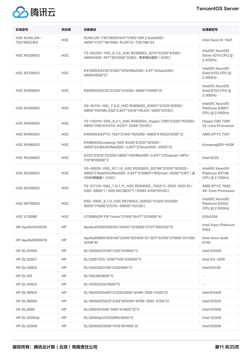

| 标准型号                              | 供应商              | 设备描述                                                                                                                               | 处理器型号                                                    |
|-----------------------------------|------------------|------------------------------------------------------------------------------------------------------------------------------------|----------------------------------------------------------|
| <b>H3C KUNLUN-</b><br>TSC180(24N) | H <sub>3</sub> C | KUNLUN-TSC180(D1541*1/16G*4/M.2 SataSSD-<br>480G*1/12T*18/10GE-RJ45*2)-TSC180*24                                                   | Intel Xeon D-1541                                        |
| H3C R4300G3                       | H <sub>3</sub> C | T3-SC23X-10G_6.1.0_H3C R4300G3_4214*2/32G*4/SSD-<br>480G/HDD-16T*36/10GE*2(光口, 带多模光模块) (H3C)                                       | $Intel(R)$ Xeon $(R)$<br>Silver 4214 CPU @<br>2.20GHz    |
| H3C R4700G3                       | H <sub>3</sub> C | R4700G3(6133*2/16G*12/NVMeSSD-3.6T*4/SataSSD-<br>480G/10GE*2)                                                                      | $Intel(R)$ Xeon $(R)$<br>Gold 6133 CPU @<br>2.50GHz      |
| H3C R4900G3                       | H <sub>3</sub> C | R4900G3(6133*2/32G*12/SSD-480G*1/10GE*2)                                                                                           | $Intel(R)$ Xeon $(R)$<br>Gold 6133 CPU @<br>2.50GHz      |
| H3C R4900G5                       | H <sub>3</sub> C | X0-GI11X-10G_7.0.0_H3C R4900G5_8360Y*2/32G*8/SSD-<br>480G*1/NVMe SSD 3.84T*1/A10*1/RJ45-10GE*2(H3C)                                | $Intel(R)$ Xeon $(R)$<br>Platinum 8360Y<br>CPU @ 2.40GHz |
| H3C R4930G5                       | H <sub>3</sub> C | T0-CS21H-25G 6.2.1 H3C R4930G5 Hygon 7285*2/32G*16/SSD-<br>480G*1/MCX4121A-ACAT-25GE*2(H3C)                                        | <b>Hygon C86 7285</b><br>32-core Processor               |
| H3C R4950G3                       | H <sub>3</sub> C | R4950G3(EPYC 7551*2/16G*16/5200-480G*6 RAID/10GE*2)                                                                                | AMD EPYC 7551                                            |
| H3C R4960G3                       | H <sub>3</sub> C | R4960G3(kunpeng-920-6426*2/32G*12/SSD-<br>480G*2/HBA/NVMeSSD-3.84T*2/SmartNIC-25GE*2)                                              | Kunpeng920-6426                                          |
| H3C R5300G3                       | H <sub>3</sub> C | 6233*2/32G*12/SSD 480G*1/NVMeSSD-3.84T*2/Suiyuan-GPU-<br>T10*8/100GE*2                                                             | <b>Intel 6233</b>                                        |
| H3C R5300G5                       | H <sub>3</sub> C | X0-GI62X-25G_N7.1.0_H3C R5300G5_8374B*2/32G*16/SSD-<br>480G*2 Raid1/NVMeSSD-3.84T*2/3080Ti*8/Smart-25GE*1(2P) (含<br>HDMI欺骗器) (H3C) | $Intel(R)$ Xeon $(R)$<br>Platinum 8374B<br>CPU @ 2.70GHz |
| H3C R5500G5                       | H <sub>3</sub> C | T0-GT11A-50G_7.0.1.11_H3C R5500G5_7K62*2 / 2933-32G*32 /<br>SSD-480G*1 / 50G NIC(双口)*1 / SXM4 A100*8(H3C)                          | AMD EPYC 7K62<br>48-Core Processor                       |
| H3C R6700G3                       | H3C              | DS5-100G_6.1.0_H3C R6700G3_(8255C*4/32G*24/SSD-<br>960G*1/10GE*2/CX5-100GE*4)(H3C)                                                 | $Intel(R)$ Xeon $(R)$<br>Platinum 8255C<br>CPU @ 2.50GHz |
| H3C U70080                        | H <sub>3</sub> C | U70080(OP P8 11core*2/16G*16/4T*12/10GE*4)                                                                                         | 02AA204                                                  |
| HP Apollo4510G10                  | HP               | Apollo4510G10(8164*2/64G*12/300G*2/12T*60/25G*2)                                                                                   | <b>Intel Xeon Platinum</b><br>8164                       |
| HP Apollo6500G10                  | HP               | Apollo6500G10(6140*2/64G*8/240G*2/1.92T*5/25G*2/100G*2/V100-<br>32GB*8)                                                            | Intel Xeon Gold<br>6140                                  |
| <b>HP DL120G6</b>                 | HP               | DL120G6(X3440*1/2G*4/500G*1)                                                                                                       | Intel X3440                                              |
| <b>HP DL120G7</b>                 | HP               | DL120G7(E3-1230*1/4G*2/500G*1)                                                                                                     | Intel E3-1230                                            |
| <b>HP DL140G3</b>                 | HP               | DL140G3(E5130*2/2G/80G*1)                                                                                                          | Intel E5130                                              |
| HP DL145                          | HP               | DL145(/8G/80G*1)                                                                                                                   | $\overline{\phantom{0}}$                                 |
| <b>HP DL145G3</b>                 | HP               | DL145G3(/2G/160G*1)                                                                                                                | $\overline{\phantom{0}}$                                 |
| <b>HP DL180G5</b>                 | HP               | DL180G5(E5405*2/32G/500G*4/HW-SSD-512G*2)                                                                                          | Intel E5405                                              |
| HP DL180G6                        | HP               | DL180G6(E5520*2/4G*9/500G*4/HW-SSD-512G*2)                                                                                         | Intel E5520                                              |
| <b>HP DL2000</b>                  | <b>HP</b>        | DL2000(E5506*1/8G*4/146G*2)*4                                                                                                      | Intel E5506                                              |
| HP DL320G5p                       | HP               | DL320G5p(X3320/8G/160G*1)                                                                                                          | Intel X3320                                              |
| <b>HP DL320G6</b>                 | HP               | DL320G6(E5506*1/4G*8/146G*2)                                                                                                       | Intel E5506                                              |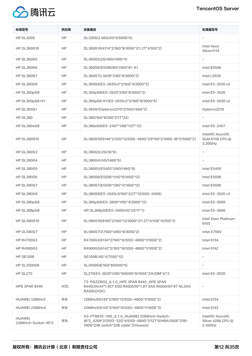

| 标准型号                                 | 供应商              | 设备描述                                                                                                                                          | 处理器型号                                                 |
|--------------------------------------|------------------|-----------------------------------------------------------------------------------------------------------------------------------------------|-------------------------------------------------------|
| HP DL320S                            | HP               | DL320S(2.66G/2G*4/500G*6)                                                                                                                     |                                                       |
| <b>HP DL360G10</b>                   | HP               | DL360G10(4114*2/16G*8/300G*2/1.2T*4/10G*2)                                                                                                    | Intel Xeon<br>Silver4114                              |
| <b>HP DL360G5</b>                    | HP               | DL360G5(2G/16G/146G*4)                                                                                                                        | $\qquad \qquad -$                                     |
| <b>HP DL360G6</b>                    | HP               | DL360G6(E5506/8G/146G*8)-A1                                                                                                                   | Intel E5506                                           |
| <b>HP DL360G7</b>                    | HP               | DL360G7(L5630*2/8G*8/300G*2)                                                                                                                  | Intel L5630                                           |
| <b>HP DL360G9</b>                    | HP               | DL360G9(E5-2620v3*2/16G*4/300G*2)                                                                                                             | Intel E5-2620 v3                                      |
| HP DL360pG8                          | HP               | DL360pG8(E5-2620*2/8G*8/300G*2)                                                                                                               | Intel E5-2620                                         |
| HP DL360pG8 HY                       | HP               | DL360pG8 HY(E5-2630v2*2/16G*8/300G*6)                                                                                                         | Intel E5-2630 v2                                      |
| <b>HP DL365G1</b>                    | HP               | DL365G1(Opteron2210*2/16G/146G*2)                                                                                                             | Opteron2210                                           |
| HP DL380                             | HP               | DL380(16G*8/300*2/1T*24)                                                                                                                      |                                                       |
| HP DL380eG8                          | HP               | DL380eG8(E5-2407*1/8G*1/2T*12)                                                                                                                | Intel E5-2407                                         |
| <b>HP DL380G10</b>                   | <b>HP</b>        | DL380G10(6146*2/32G*12/SSD-480G*2/P100*2/100G-IB*2/10GE*2)                                                                                    | $Intel(R)$ Xeon $(R)$<br>Gold 6146 CPU @<br>3.20GHz   |
| <b>HP DL380G3</b>                    | HP               | DL380G3(/2G/36*6)                                                                                                                             |                                                       |
| <b>HP DL380G4</b>                    | HP               | DL380G4(/4G/146G*6)                                                                                                                           |                                                       |
| <b>HP DL380G5</b>                    | HP               | DL380G5(E5405*2/8G/146G*8)                                                                                                                    | Intel E5405                                           |
| <b>HP DL380G6</b>                    | HP               | DL380G6(E5506*1/4G*8/146G*12)                                                                                                                 | Intel E5506                                           |
| <b>HP DL380G7</b>                    | HP               | DL380G7(E5506*1/8G*4/146G*12)                                                                                                                 | Intel E5506                                           |
| <b>HP DL380G9</b>                    | HP               | DL380G9(E5-2620v3/16G*2/2T*12/SSD-240G)                                                                                                       | Intel E5-2620 v3                                      |
| HP DL380pG8                          | HP               | DL380pG8(E5-2609*1/8G*4/300G*12)                                                                                                              | Intel E5-2609                                         |
| HP DL388pG8                          | HP               | HP DL388pG8(E5-2600/4G*24/1T*1)                                                                                                               | Intel E5-2600                                         |
| <b>HP DL580G10</b>                   | HP.              | DL580G10(8165*2/16G*12/300G*2/1.2T*4/1GE*4/25G*2)                                                                                             | Intel Xeon Platinum<br>8165                           |
| <b>HP DL580G7</b>                    | HP               | DL580G7(X7560*4/8G*8/300G*2)                                                                                                                  | Intel X7560                                           |
| <b>HP R4700G3</b>                    | HP               | R4700G3(6134*2/16G*12/SSD-480G*1/10GE*2)                                                                                                      | <b>Intel 6134</b>                                     |
| <b>HP R4900G3</b>                    | HP               | R4900G3(6142*2/16G*16/SSD-480G*1/10GE*2)                                                                                                      | <b>Intel 6142</b>                                     |
| <b>HP SE1208</b>                     | HP.              | SE1208(/4G*4/750G*12)                                                                                                                         |                                                       |
| <b>HP SL2500G8</b>                   | HP               | SL2500G8(16G*8/600G*6)                                                                                                                        |                                                       |
| <b>HP SL270</b>                      | <b>HP</b>        | SL270(E5-2620*2/8G*8/600G*8/10GE*2/K20M*4)*2                                                                                                  | Intel E5-2620                                         |
| <b>HPE 3PAR 8440</b>                 | H <sub>3</sub> C | T3-PGZZW22_6.1.0_HPE 3PAR 8440_HPE 3PAR<br>8440(2N/44*1.92T SSD RAID5/50*1.8T SAS RAID6/94*8T NLSAS<br>RAID6)(H3C)                            |                                                       |
| HUAWEI 1288Hv5                       | 华为               | 1288Hv5(6134*2/16G*12/SSD-480G*1/10GE*2)                                                                                                      | <b>Intel 6134</b>                                     |
| <b>HUAWEI 2288Hv5</b>                | 华为               | 2288Hv5(6142*2/16G*16/SSD-480G*1/10GE*2)                                                                                                      | <b>Intel 6142</b>                                     |
| <b>HUAWEI</b><br>2288Hv5+Switch-IB*2 | 华为               | X3-PTB61X-10G_6.1.0_HUAWEI 2288Hv5+Switch-<br>IB*2_4208*2/2933-32G*4/SSD-480G*2/12T*6/HBA/10GE*2/IB-<br>100G*2/IB switch*2/IB cable*2(Huawei) | $Intel(R)$ Xeon $(R)$<br>Silver 4208 CPU @<br>2.10GHz |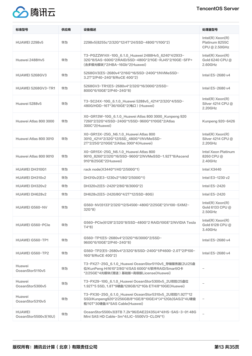# TencentOS Server



| 标准型号                                  | 供应商 | 设备描述                                                                                                                                                   | 处理器型号                                                  |
|---------------------------------------|-----|--------------------------------------------------------------------------------------------------------------------------------------------------------|--------------------------------------------------------|
| <b>HUAWEI 2298v5</b>                  | 华为  | 2298v5(8255c*2/32G*12/4T*24/SSD-480G*1/10G*2)                                                                                                          | Intel(R) Xeon(R)<br>Platinum 8255C<br>CPU @ 2.50GHz    |
| Huawei 2488Hv5                        | 华为  | T3-PGZZW14X-10G 6.1.0 Huawei 2488Hv5 6240*4/2933-<br>32G*8/SAS-600G*2/RAID/SSD-480G*2/1GE-RJ45*2/10GE-SFP+<br>(含多模光模块)*2/HBA-16Gb*2(Huawei)            | $Intel(R)$ Xeon $(R)$<br>Gold 6240 CPU @<br>$2.60$ GHz |
| <b>HUAWEI 5268GV3</b>                 | 华为  | 5268GV3(E5-2680v4*2/16G*16/SSD-240G*1/NVMeSSD-<br>3.2T*2/P40-24G*8/RoCE 40G*2)                                                                         | Intel E5-2680 v4                                       |
| <b>HUAWEI 5268GV3-TR1</b>             | 华为  | 5268GV3-TR1(E5-2680v4*2/32G*16/300G*2/SSD-<br>800G*6/10GE*2/P40-24G*8)                                                                                 | Intel E5-2680 v4                                       |
| Huawei 5288v5                         | 华为  | T3-SC24X-10G_6.1.0_Huawei 5288v5_4214*2/32G*4/SSD-<br>480G/HDD-16T*36/10GE*2(电口) (Huawei)                                                              | $Intel(R)$ Xeon(R)<br>Silver 4214 CPU @<br>2.20GHz     |
| Huawei Atlas 800 3000                 | 华为  | X0-GR13W-10G_6.1.0_Huawei Atlas 800 3000_Kunpeng 920<br>7260*2/32G*4/SSD-240G*1/SSD-960G*1/10GE*2/Atlas<br>300C*2(Huawei)                              | Kunpeng 920-6426                                       |
| Huawei Atlas 800 3010                 | 华为  | X0-GR13X-25G_N6.1.0_Huawei Atlas 800<br>3010_4214*2/32G*12/SSD_480G*1/NVMeSSD-<br>2T*2/25G*2/10GE*2/Atlas 300I*4(Huawei)                               | $Intel(R)$ Xeon $(R)$<br>Silver 4214 CPU @<br>2.20GHz  |
| Huawei Atlas 800 9010                 | 华为  | X0-GR15X-25G_N6.1.0_Huawei Atlas 800<br>9010_8260*2/32G*16/SSD-960G*2/NVMeSSD-1.92T*8/Ascend<br>910*8/25GE*2(Huawei)                                   | Intel Xeon Platinum<br>8260 CPU@<br>2.40GHz            |
| <b>HUAWEI DH310G1</b>                 | 华为  | rack node(X3440*1/4G*2/500G*1)                                                                                                                         | Intel X3440                                            |
| HUAWEI DH310y2                        | 华为  | DH310v2(E3-1230v2*1/8G*2/500G*1)                                                                                                                       | Intel E3-1230 v2                                       |
| HUAWEI DH320v2                        | 华为  | DH320v2(E5-2420*2/8G*8/300G*2)                                                                                                                         | Intel E5-2420                                          |
| HUAWEI DH628v2                        | 华为  | DH628v2(E5-2420/8G*4/2T*12/SSD-80G)                                                                                                                    | Intel E5-2420                                          |
| <b>HUAWEI G560-NV</b>                 | 华为  | G560-NV(6133*2/32G*12/S4500-480G*2/25GE*2/V100-SXM2-<br>$32G*8$                                                                                        | $Intel(R)$ Xeon $(R)$<br>Gold 6133 CPU @<br>2.50GHz    |
| <b>HUAWEI G560-PCIe</b>               | 华为  | G560-PCle(6128*2/32G*8/SSD-480G*2 RAID/10GE*2/NVIDIA Tesla<br>$T4*8$                                                                                   | $Intel(R)$ Xeon $(R)$<br>Gold 6128 CPU @<br>3.40GHz    |
| HUAWEI G560-TP1                       | 华为  | G560-TP1(E5-2680v4*2/32G*16/300G*2/SSD-<br>960G*6/10GE*2/P40-24G*8)                                                                                    | Intel E5-2680 v4                                       |
| HUAWEI G560-TP2                       | 华为  | G560-TP2(E5-2680v4*2/32G*8/SSD-240G*1/P4600-2.0T*2/P100-<br>16G*8/RoCE 40G*2)                                                                          | Intel E5-2680 v4                                       |
| Huawei<br>OceanStor5110v5             | 华为  | T3-PX27-25G_6.1.0_Huawei OceanStor5110v5_存储服务器(2U/25盘<br>位/KunPeng Hi1610*2/8G*4/SAS 600G*4/软件RAID/SmartIO卡<br>*2/25GE*4光模块/(赠送)基础版+高级版License(Huawei) |                                                        |
| Huawei<br>OceanStor5300v5             | 华为  | T3-PX29-10G_6.1.0_Huawei OceanStor5300v5_2U双控/25盘位<br>1.92T*5 SSD, 1.8T*9硬盘/128GB/12*1Gb ETH/8*10GE(Huawei)                                            |                                                        |
| Huawei<br>OceanStor5310v5             | 华为  | T3-PX30-25G_6.1.0_Huawei OceanStor5310v5_2U双控/1.92T*12<br>SSD/Kunpeng920*2/256GB/8*1GE/8*10GE/4*(4*12Gb)SAS/2*4U硬盘<br>框/10T*30硬盘/4*SAS Cable(Huawei)   |                                                        |
| <b>HUAWEI</b><br>OceanStor5500v3(16U) | 华为  | OceanStor5500v3(8TB 7.2k*96/DAE22435U4*4/HS-SAS-3-0148G<br>Mini SAS HD Cable-3m*4/LIC-5500V3-CLON*1)                                                   |                                                        |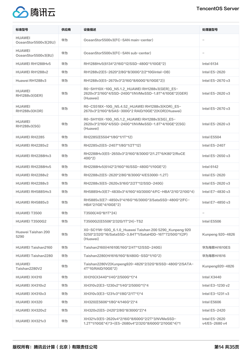

| 标准型号                                  | 供应商 | 设备描述                                                                                                                         | 处理器型号                          |
|---------------------------------------|-----|------------------------------------------------------------------------------------------------------------------------------|--------------------------------|
| <b>HUAWEI</b><br>OceanStor5500v3(26U) | 华为  | OceanStor5500v3(FC-SAN main-center)                                                                                          |                                |
| <b>HUAWEI</b><br>OceanStor5500v3(8U)  | 华为  | OceanStor5500v3(FC-SAN sub-center)                                                                                           |                                |
| HUAWEI RH1288Hv5                      | 华为  | RH1288Hv5(6134*2/16G*12/SSD-480G*1/10GE*2)                                                                                   | <b>Intel 6134</b>              |
| HUAWEI RH1288v2                       | 华为  | RH1288v2(E5-2620*2/8G*8/300G*2/2*10GIntel-OB)                                                                                | Intel E5-2620                  |
| Huawei RH1288v3                       | 华为  | RH1288v3(E5-2670v3*2/16G*8/600G*6/10GE*2))                                                                                   | Intel E5-2670 v3               |
| <b>HUAWEI</b><br>RH1288v3(GER)        | 华为  | R0-SH110X-10G_N5.1.2_HUAWEI RH1288v3(GER)_E5-<br>2620v3*2/16G*4/SSD-240G*1/NVMeSSD-1.8T*4/10GE*2(GER)<br>(Huawei)            | Intel E5-2620 v3               |
| <b>HUAWEI</b><br>RH1288v3(KOR)        | 华为  | R0-CS518X-10G_N5.4.52_HUAWEI RH1288v3(KOR)_E5-<br>2670v3*2/16G*8/SAS-300G*2 RAID/10GE*2(KOR)(Huawei)                         | Intel E5-2670 v3               |
| <b>HUAWEI</b><br>RH1288v3(SG)         | 华为  | R0-SH110X-10G_N5.1.2_HUAWEI RH1288v3(SG)_E5-<br>2620v3*2/16G*4/SSD-240G*1/NVMeSSD-1.8T*4/10GE*2(SG)<br>(Huawei)              | Intel E5-2620 v3               |
| <b>HUAWEI RH2285</b>                  | 华为  | RH2285(E5504*1/8G*1/1T*12)                                                                                                   | Intel E5504                    |
| HUAWEI RH2285v2                       | 华为  | RH2285v2(E5-2407*1/8G*1/2T*12)                                                                                               | Intel E5-2407                  |
| HUAWEI RH2288Hv3                      | 华为  | RH2288Hv3(E5-2650v3*2/16G*8/300G*2/1.2T*6/K80*2/RoCE<br>$40G*2)$                                                             | Intel E5-2650 v3               |
| HUAWEI RH2288Hv5                      | 华为  | RH2288Hv5(6142*2/16G*16/SSD-480G*1/10GE*2)                                                                                   | <b>Intel 6142</b>              |
| HUAWEI RH2288v2                       | 华为  | RH2288v2(E5-2620*2/8G*8/300G*4/ES3000-1.2T)                                                                                  | Intel E5-2620                  |
| HUAWEI RH2288v3                       | 华为  | RH2288v3(E5-2620v3/16G*2/2T*12/SSD-240G)                                                                                     | Intel E5-2620 v3               |
| HUAWEI RH5885Hv3                      | 华为  | RH5885Hv3(E7-4830v3*4/16G*40/300G*4/FC-HBA*2/1G*2/10G*4)                                                                     | Intel E7-4830 v3               |
| HUAWEI RH5885v3                       | 华为  | RH5885v3(E7-4850v3*4/16G*16/300G*3/SataSSD-480G*2/FC-<br>HBA*2/1GE*4/10GE*2)                                                 | Intel E7-4850 v3               |
| HUAWEI T3500                          | 华为  | T3500(/4G*8/1T*24)                                                                                                           |                                |
| <b>HUAWEI T3500G2</b>                 | 华为  | T3500G2(E5506*2/32G/1T*24)-TS2                                                                                               | Intel E5506                    |
| Huawei Taishan 200<br>5290            | 华为  | X0-SC11W-50G_6.1.0_Huawei Taishan 200 5290_Kunpeng 920<br>5250*2/32G*16/SataSSD-3.84T*1/SataHDD-16T*72/50G*1(2P)<br>(Huawei) | Kunpeng 920-4826               |
| <b>HUAWEI Taishan2160</b>             | 华为  | Taishan2160(Hi1610E/16G*2/4T*12/SSD-240G)                                                                                    | 华为海思Hi1610ES                   |
| <b>HUAWEI Taishan2280</b>             | 华为  | Taishan2280(Hi1616/16G*8/480G-SSD*1/1G*2)                                                                                    | 华为海思Hi1616                     |
| <b>HUAWEI</b><br>Taishan2280V2        | 华为  | Taishan2280V2(Kunpeng920-4826*2/32G*8/SSD-480G*2/SATA-<br>4T*10/RAID/10GE*2)                                                 | Kunpeng920-4826                |
| <b>HUAWEI XH310</b>                   | 华为  | XH310(X3440*1/4G*2/500G*1)*4                                                                                                 | Intel X3440                    |
| HUAWEI XH310v2                        | 华为  | XH310v2(E3-1230v2*1/4G*2/500G*1)*4                                                                                           | Intel E3-1230 v2               |
| HUAWEI XH310v3                        | 华为  | XH310v3(E3-1231v3*1/8G*2/1T*1)*4                                                                                             | Intel E3-1231 v3               |
| <b>HUAWEI XH320</b>                   | 华为  | XH320(E5606*1/8G*4/146G*2)*4                                                                                                 | Intel E5606                    |
| HUAWEI XH320v2                        | 华为  | XH320v2(E5-2420*2/8G*8/300G*2)*4                                                                                             | Intel E5-2420                  |
| HUAWEI XH321v3                        | 华为  | XH321v3(E5-2620v4*2/16G*8/600G*2/2T*3/NVMeSSD-<br>1.2T*1/10GE*4)*3+(E5-2680v4*2/32G*8/600G*2/10GE*4)*1                       | Intel E5-2620<br>v4/E5-2680 v4 |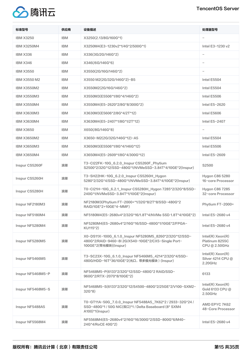

| 标准型号                | 供应商        | 设备描述                                                                                                                                   | 处理器型号                                                    |
|---------------------|------------|----------------------------------------------------------------------------------------------------------------------------------------|----------------------------------------------------------|
| <b>IBM X3250</b>    | <b>IBM</b> | X3250(2.13/8G/160G*1)                                                                                                                  |                                                          |
| <b>IBM X3250M4</b>  | <b>IBM</b> | X3250M4(E3-1230v2*1/4G*2/500G*1)                                                                                                       | Intel E3-1230 v2                                         |
| <b>IBM X336</b>     | <b>IBM</b> | X336(3G/2G/146G*2)                                                                                                                     |                                                          |
| <b>IBM X346</b>     | <b>IBM</b> | X346(/6G/146G*6)                                                                                                                       |                                                          |
| <b>IBM X3550</b>    | <b>IBM</b> | X3550(2G/16G/146G*2)                                                                                                                   |                                                          |
| <b>IBM X3550 M2</b> | <b>IBM</b> | X3550 M2(2G/32G/146G*2)-B5                                                                                                             | Intel E5504                                              |
| <b>IBM X3550M2</b>  | <b>IBM</b> | X3550M2(2G/16G/146G*2)                                                                                                                 | Intel E5504                                              |
| <b>IBM X3550M3</b>  | <b>IBM</b> | X3550M3(E5506*1/8G*4/146G*2)                                                                                                           | Intel E5506                                              |
| <b>IBM X3550M4</b>  | <b>IBM</b> | X3550M4(E5-2620*2/8G*8/300G*2)                                                                                                         | Intel E5-2620                                            |
| <b>IBM X3630M3</b>  | <b>IBM</b> | X3630M3(E5606*2/8G*4/2T*12)                                                                                                            | Intel E5606                                              |
| <b>IBM X3630M4</b>  | <b>IBM</b> | X3630M4(E5-2407*1/8G*1/2T*12)                                                                                                          | Intel E5-2407                                            |
| <b>IBM X3650</b>    | <b>IBM</b> | X650(/8G/146G*8)                                                                                                                       |                                                          |
| <b>IBM X3650M2</b>  | <b>IBM</b> | X3650-M2(2G/32G/146G*12)-A5                                                                                                            | Intel E5504                                              |
| <b>IBM X3650M3</b>  | <b>IBM</b> | X3650M3(E5506*1/8G*4/146G*12)                                                                                                          | Intel E5506                                              |
| <b>IBM X3650M4</b>  | <b>IBM</b> | X3650M4(E5-2609*1/8G*4/300G*12)                                                                                                        | Intel E5-2609                                            |
| Inspur CS5260F      | 浪潮         | T3-Cl22FK-10G_6.2.0_Inspur CS5260F_Phytium<br>S2500*2/32G*12/SSD-480G*1/NVMeSSD-3.84T*4/10GE*2(Inspur)                                 | S2500                                                    |
| Inspur CS5260H      | 浪潮         | T3-SH22HK-10G_6.2.0_Inspur CS5260H_Hygon<br>5280*2/32G*4/SSD-480G*1/NVMeSSD-3.84T*4/10GE*2(Inspur)                                     | <b>Hygon C86 5280</b><br>16-core Processor               |
| Inspur CS5280H      | 浪潮         | T0-Cl21H-10G_6.2.1_Inspur CS5280H_Hygon 7285*2/32G*8/SSD-<br>240G*1/NVMeSSD-3.84T*1/10GE*2(Inspur)                                     | <b>Hygon C86 7285</b><br>32-core Processor               |
| Inspur NF2180M3     | 浪潮         | NF2180M3(Phytium FT-2000+*1/32G*8/2T*8/SSD-480G*2<br>RAID/1GE*2+10GE*4-MMF)                                                            | Phytium FT-2000+                                         |
| Inspur NF5180M4     | 浪潮         | NF5180M4(E5-2680v4*2/32G*16/1.8T*4/NVMe SSD 1.8T*4/10GE*2)                                                                             | Intel E5-2680 v4                                         |
| Inspur NF5280M4     | 浪潮         | NF5280M4(E5-2680v4*2/16G*16/SSD-480G*1/10GE*2/FPGA-<br>KU115*2)                                                                        | Intel E5-2680 v4                                         |
| Inspur NF5280M5     | 浪潮         | X0-DS11X-100G 6.1.0 Inspur NF5280M5 8260*2/32G*12/SSD-<br>480G*2/RAID-9460-8I 2G/X540-10GE*2/CX5-Single Port-<br>100GE*2(带光模块)(Inspur) | $Intel(R)$ Xeon $(R)$<br>Platinum 8255C<br>CPU @ 2.50GHz |
| Inspur NF5466M5     | 浪潮         | T3-SC23X-10G 6.1.0 Inspur NF5466M5 4214*2/32G*4/SSD-<br>480G/HDD-16T*36/10GE*2(光口, 带多模光模块) (Inspur)                                    | $Intel(R)$ Xeon $(R)$<br>Silver 4214 CPU @<br>2.20GHz    |
| Inspur NF5468M5-P   | 浪潮         | NF5468M5-P(6133*2/32G*12/SSD-480G*2 RAID/SSD-<br>960G*2/RTX-2070*8/10GE*2)                                                             | 6133                                                     |
| Inspur NF5468M5-S   | 浪潮         | NF5468M5-S(6133*2/32G*12/S4500-480G*2/25GE*2/V100-SXM2-<br>32G*8)                                                                      | $Intel(R)$ Xeon $(R)$<br>Gold 6133 CPU @<br>2.50GHz      |
| Inspur NF5488A5     | 浪潮         | T0-GT11A-50G_7.0.0_Inspur NF5488A5_7K62*2 / 2933-32G*24 /<br>SSD-480G*1 / 50G NIC(双口)*1 / Delta Baseboard (8* SXM4<br>A100)*1(Inspur)  | AMD EPYC 7K62<br>48-Core Processor                       |
| Inspur NF5568M4     | 浪潮         | NF5568M4(E5-2680v4*2/16G*16/300G*2/SSD-800G*6/M40-<br>24G*4/RoCE 40G*2)                                                                | Intel E5-2680 v4                                         |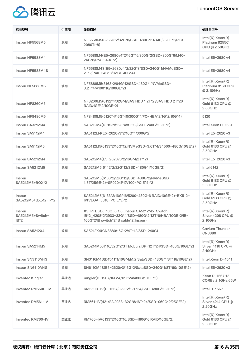# TencentOS Server



| 标准型号                                 | 供应商 | 设备描述                                                                                                                                           | 处理器型号                                                    |
|--------------------------------------|-----|------------------------------------------------------------------------------------------------------------------------------------------------|----------------------------------------------------------|
| Inspur NF5568M5                      | 浪潮  | NF5568M5(8255C*2/32G*8/SSD-480G*2 RAID/25GE*2/RTX-<br>2080TI*8)                                                                                | $Intel(R)$ Xeon $(R)$<br>Platinum 8255C<br>CPU @ 2.50GHz |
| Inspur NF5588M4                      | 浪潮  | NF5588M4(E5-2680v4*2/16G*16/300G*2/SSD-800G*6/M40-<br>24G*8/RoCE 40G*2)                                                                        | Intel E5-2680 v4                                         |
| Inspur NF5588M4S                     | 浪潮  | NF5588M4S(E5-2680v4*2/32G*8/SSD-240G*1/NVMeSSD-<br>2T*2/P40-24G*8/RoCE 40G*4)                                                                  | Intel E5-2680 v4                                         |
| Inspur NF5888M5                      | 浪潮  | NF5888M5(8168*2/64G*12/SSD-480G*1/NVMeSSD-<br>3.2T*4/V100*16/100GE*2)                                                                          | $Intel(R)$ Xeon $(R)$<br>Platinum 8168 CPU<br>@ 2.10GHz  |
| Inspur NF8260M5                      | 浪潮  | NF8260M5(6132*4/32G*4/SAS HDD 1.2T*2 /SAS HDD 2T*20<br>RAID/1GE*2/10GE*2)                                                                      | $Intel(R)$ Xeon $(R)$<br>Gold 6132 CPU @<br>2.60GHz      |
| Inspur NF8480M5                      | 浪潮  | NF8480M5(5120*4/16G*40/300G*4/FC-HBA*2/1G*2/10G*4)                                                                                             | 5120                                                     |
| Inspur SA3212M4                      | 浪潮  | SA3212M4(D-1531/16G*4/8T*12/SSD-240G/10GE*2)                                                                                                   | Intel Xeon D-1531                                        |
| Inspur SA5112M4                      | 浪潮  | SA5112M4(E5-2620v3*2/16G*4/300G*2)                                                                                                             | Intel E5-2620 v3                                         |
| Inspur SA5112M5                      | 浪潮  | SA5112M5(6133*2/16G*12/NVMeSSD-3.6T*4/S4500-480G/10GE*2)                                                                                       | $Intel(R)$ Xeon $(R)$<br>Gold 6133 CPU @<br>2.50GHz      |
| Inspur SA5212M4                      | 浪潮  | SA5212M4(E5-2620v3*2/16G*4/2T*12)                                                                                                              | Intel E5-2620 v3                                         |
| Inspur SA5212M5                      | 浪潮  | SA5212M5(6142*2/32G*12/SSD-480G*1/10GE*2)                                                                                                      | <b>Intel 6142</b>                                        |
| Inspur<br>SA5212M5+BOX*2             | 浪潮  | SA5212M5(6133*2/32G*12/SSD-480G*2/NVMeSSD-<br>1.8T/25GE*2)+SF0204P1(V100-PCIE*4)*2                                                             | $Intel(R)$ Xeon $(R)$<br>Gold 6133 CPU @<br>2.50GHz      |
| Inspur<br>SA5212M5+BX512-IP*2        | 浪潮  | SA5212M5(6133*2/16G*16/5200-480G*6 RAID/10GE*2)+BX512-<br>IP(VEGA-3318-PCIE*3)*2                                                               | $Intel(R)$ Xeon $(R)$<br>Gold 6133 CPU @<br>2.50GHz      |
| Inspur<br>SA5212M5+Switch-<br>$IB*2$ | 浪潮  | X3-PTB61X-10G_6.1.0_Inspur SA5212M5+Switch-<br>IB*2_4208*2/2933-32G*4/SSD-480G*2/12T*6/HBA/10GE*2/IB-<br>100G*2/IB switch*2/IB cable*2(Inspur) | $Intel(R)$ Xeon $(R)$<br>Silver 4208 CPU @<br>2.10GHz    |
| Inspur SA5212X4                      | 浪潮  | SA5212X4(CN8880/16G*2/4T*12/SSD-240G)                                                                                                          | Cavium Thunder<br><b>CN8880</b>                          |
| Inspur SA5214M5                      | 浪潮  | SA5214M5(4116/32G*2/ST Mobula BP-12T*24/SSD-480G/10GE*2)                                                                                       | $Intel(R)$ Xeon $(R)$<br>Silver 4116 CPU @<br>2.10GHz    |
| Inspur SN3116M4S                     | 浪潮  | SN3116M4S(D1541*1/16G*4/M.2 SataSSD-480G*1/8T*18/10GE*2)                                                                                       | Intel Xeon D-1541                                        |
| Inspur SN6110M4S                     | 浪潮  | SN6110M4S(E5-2620v3/16G*2/SataSSD-240G*1/8T*60/10GE*2)                                                                                         | Intel E5-2620 v3                                         |
| Inventec Kingler                     | 英业达 | Kingler(D-1567/16G*4/12T*24/480G/10GE*2)                                                                                                       | Xeon D-1567,12<br>COREs, 2.1GHz, 65W                     |
| Inventec RM550D-IV                   | 英业达 | RM550D-IV(D-1567/32G*2/12T*24/SSD-480G/10GE*2)                                                                                                 | Intel D-1567                                             |
| Inventec RM561-IV                    | 英业达 | RM561-IV(4214*2/2933-32G*8/16T*24/SSD-960G*2/25GE*2)                                                                                           | $Intel(R)$ Xeon $(R)$<br>Silver 4214 CPU @<br>2.20GHz    |
| Inventec RM760-IV                    | 英业达 | RM760-IV(6133*2/16G*16/SSD-480G*6 RAID/10GE*2)                                                                                                 | $Intel(R)$ Xeon $(R)$<br>Gold 6133 CPU @<br>2.50GHz      |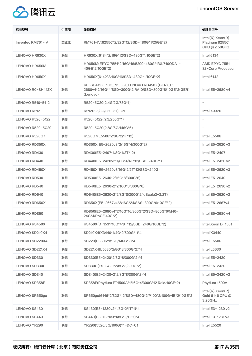

| 标准型号                    | 供应商 | 设备描述                                                                                                             | 处理器型号                                                    |
|-------------------------|-----|------------------------------------------------------------------------------------------------------------------|----------------------------------------------------------|
| Inventec RM761-IV       | 英业达 | RM761-IV(8255C*2/32G*12/SSD-480G*1/25GE*2)                                                                       | $Intel(R)$ Xeon $(R)$<br>Platinum 8255C<br>CPU @ 2.50GHz |
| <b>LENOVO HR630X</b>    | 联想  | HR630X(6134*2/16G*12/SSD-480G*1/10GE*2)                                                                          | <b>Intel 6134</b>                                        |
| <b>LENOVO HR650M</b>    | 联想  | HR650M(EPYC 7551*2/16G*16/5200-480G*1/XL710QDA1-<br>40GE*2/10GE*2)                                               | AMD EPYC 7551<br>32-Core Processor                       |
| <b>LENOVO HR650X</b>    | 联想  | HR650X(6142*2/16G*16/SSD-480G*1/10GE*2)                                                                          | <b>Intel 6142</b>                                        |
| LENOVO R0-SH412X        | 联想  | R0-SH412X-10G_N5.5.9_LENOVO RD450X(GER)_E5-<br>2680v4*2/16G*4/SSD-300G*2 RAID/SSD-800G*8/10GE*2(GER)<br>(Lenovo) | Intel E5-2680 v4                                         |
| LENOVO R510-5112        | 联想  | R520-5C20(2.4G/2G/73G*1)                                                                                         | $\overline{\phantom{m}}$                                 |
| LENOVO R512             | 联想  | R512(2.5/8G/250G*1)-C1                                                                                           | Intel X3320                                              |
| <b>LENOVO R520-5122</b> | 联想  | R520-5122(/2G/250G*1)                                                                                            | $\qquad \qquad -$                                        |
| <b>LENOVO R520-5C20</b> | 联想  | R520-5C20(2.8G/6G/146G*6)                                                                                        | $\overline{\phantom{0}}$                                 |
| LENOVO R520G7           | 联想  | R520G7(E5506*2/8G*2/1T*12)                                                                                       | Intel E5506                                              |
| <b>LENOVO RD350X</b>    | 联想  | RD350X(E5-2620v3*2/16G*4/300G*2)                                                                                 | Intel E5-2620 v3                                         |
| LENOVO RD430            | 联想  | RD430(E5-2407*1/8G*1/2T*12)                                                                                      | Intel E5-2407                                            |
| LENOVO RD440            | 联想  | RD440(E5-2420v2*1/8G*4/4T*12/SSD-240G*1)                                                                         | Intel E5-2420 v2                                         |
| <b>LENOVO RD450X</b>    | 联想  | RD450X(E5-2620v3/16G*2/2T*12/SSD-240G)                                                                           | Intel E5-2620 v3                                         |
| LENOVO RD530            | 联想  | RD530(E5-2640*2/16G*8/300G*6)                                                                                    | Intel E5-2640                                            |
| LENOVO RD540            | 联想  | RD540(E5-2630v2*2/16G*8/300G*6)                                                                                  | Intel E5-2630 v2                                         |
| LENOVO RD640            | 联想  | RD640(E5-2620v2*2/8G*8/300G*2/ioScale2-3.2T)                                                                     | Intel E5-2620 v2                                         |
| <b>LENOVO RD650X</b>    | 联想  | RD650X(E5-2667v4*2/16G*24/SAS-300G*6/10GE*2)                                                                     | Intel E5-2667v4                                          |
| LENOVO RD850            | 联想  | RD850(E5-2680v4*2/16G*16/300G*2/SSD-800G*6/M40-<br>24G*4/RoCE 40G*2)                                             | Intel E5-2680 v4                                         |
| <b>LENOVO RS450X</b>    | 联想  | RS450X(D-1531/16G*4/8T*12/SSD-240G/10GE*2)                                                                       | Intel Xeon D-1531                                        |
| LENOVO SD210X4          | 联想  | SD210X4(X3440*1/4G*2/500G*1)*4                                                                                   | Intel X3440                                              |
| LENOVO SD220X4          | 联想  | SD220(E5506*1/16G/146G*2)*4                                                                                      | Intel E5506                                              |
| LENOVO SD221X4          | 联想  | SD221X4(L5630*2/8G*8/300G*2)*4                                                                                   | Intel L5630                                              |
| LENOVO SD330            | 联想  | SD330(E5-2420*2/8G*8/300G*2)*4                                                                                   | Intel E5-2420                                            |
| <b>LENOVO SD330C</b>    | 联想  | SD330C(E5-2420*2/8G*8/300G*2)                                                                                    | Intel E5-2420                                            |
| LENOVO SD340            | 联想  | SD340(E5-2420v2*2/8G*8/300G*2)*4                                                                                 | Intel E5-2420 v2                                         |
| <b>LENOVO SR358F</b>    | 联想  | SR358F(Phytium FT1500A*1/16G*4/300G*12 Raid/10GE*2)                                                              | Phytium 1500A                                            |
| LENOVO SR650gx          | 联想  | SR650gx(6146*2/32G*12/SSD-480G*2/P100*2/100G-IB*2/10GE*2)                                                        | $Intel(R)$ Xeon $(R)$<br>Gold 6146 CPU @<br>3.20GHz      |
| LENOVO SS430            | 联想  | SS430(E3-1230v2*1/8G*2/1T*1)*4                                                                                   | Intel E3-1230 v2                                         |
| LENOVO SS440            | 联想  | SS440(E3-1231v3*1/8G*2/1T*1)*4                                                                                   | Intel E3-1231 v3                                         |
| LENOVO YR290            | 联想  | YR290(5520/8G/160G)*4-DC-C1                                                                                      | Intel E5520                                              |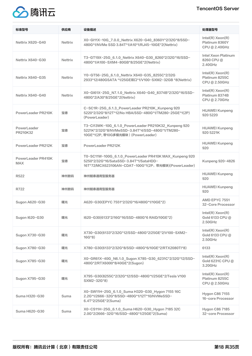

| 标准型号                             | 供应商            | 设备描述                                                                                                                                                      | 处理器型号                                                    |
|----------------------------------|----------------|-----------------------------------------------------------------------------------------------------------------------------------------------------------|----------------------------------------------------------|
| Nettrix X620-G40                 | <b>Nettrix</b> | X0-GI11X-10G_7.0.0_Nettrix X620-G40_8360Y*2/32G*8/SSD-<br>480G*1/NVMe SSD 3.84T*1/A10*1/RJ45-10GE*2(Nettrix)                                              | $Intel(R)$ Xeon $(R)$<br>Platinum 8360Y<br>CPU @ 2.40GHz |
| Nettrix X640-G30                 | <b>Nettrix</b> | T3-GT19X-25G_6.1.0_Nettrix X640-G30_8260*2/32G*16/SSD-<br>480G*1/A100-SXM4-80GB*8/25GE*2(Nettrix)                                                         | Intel Xeon Platinum<br>8260 CPU@<br>2.40GHz              |
| Nettrix X640-G35                 | <b>Nettrix</b> | Y0-GT56-25G 6.1.0 Nettrix X640-G35 8255C*2/32G<br>2933*12/480GSATA *1/25GE双口*1/V100-SXM2-32GB *8(Nettrix)                                                 | $Intel(R)$ Xeon $(R)$<br>Platinum 8255C<br>CPU @ 2.50GHz |
| Nettrix X640-G40                 | <b>Nettrix</b> | X0-GI61X-25G_N7.1.0_Nettrix X640-G40_8374B*2/32G*16/SSD-<br>480G*2/A30*8/25GE*2(Nettrix)                                                                  | $Intel(R)$ Xeon $(R)$<br>Platinum 8374B<br>CPU @ 2.70GHz |
| PowerLeader PR210K               | 宝德             | C-SC1R-25G_6.1.3_PowerLeader PR210K_Kunpeng 920<br>5220*2/32G*8/12T*12/No HBA/SSD-480G*1/TM280-25GE*1(2P)<br>(PowerLeader)                                | <b>HUAWEI Kunpeng</b><br>920 5220                        |
| PowerLeader<br>PR210K32          | 宝德             | T3-Cl13WK-10G_6.1.0_PowerLeader PR210K32_Kunpeng 920<br>5221K*2/32G*8/NVMeSSD-3.84T*4/SSD-480G*1/TM280-<br>10GE*1(2P, 带10G多模光模块) (PowerLeader)            | <b>HUAWEI Kunpeng</b><br>920 5221K                       |
| PowerLeader PR212K               | 宝德             | PowerLeader PR212K                                                                                                                                        | <b>HUAWEI Kunpeng</b><br>920                             |
| PowerLeader PR410K<br><b>MAX</b> | 宝德             | T0-SC11W-100G_6.1.0_PowerLeader PR410K MAX_Kunpeng 920<br>5250*2/32G*16/SataSSD-3.84T*1/SataHDD-<br>16T*72/MCX623106AN-CDAT-100G*1(2P, 带光模块)(PowerLeader) | Kunpeng 920-4826                                         |
| R <sub>522</sub>                 | 神州数码           | 神州鲲泰通用型服务器                                                                                                                                                | <b>HUAWEI Kunpeng</b><br>920                             |
| R722                             | 神州数码           | 神州鲲泰通用型服务器                                                                                                                                                | <b>HUAWEI Kunpeng</b><br>920                             |
| Sugon A620-G30                   | 曙光             | A620-G30(EPYC 7551*2/32G*16/480G*1/10GE*2)                                                                                                                | AMD EPYC 7551<br>32-Core Processor                       |
| Sugon I620-G30                   | 曙光             | I620-G30(6133*2/16G*16/SSD-480G*6 RAID/10GE*2)                                                                                                            | $Intel(R)$ Xeon $(R)$<br>Gold 6133 CPU @<br>$2.50$ GHz   |
| Sugon X730-G30                   | 曙光             | X730-G30(6133*2/32G*12/SSD-480G*2/25GE*2/V100-SXM2-<br>$16G*8)$                                                                                           | $Intel(R)$ Xeon $(R)$<br>Gold 6133 CPU @<br>2.50GHz      |
| Sugon X780-G30                   | 曙光             | X780-G30(6133*2/32G*8/SSD-480G*6/10GE*2/RTX2080TI*8)                                                                                                      | 6133                                                     |
| Sugon X785-G30                   | 曙光             | X0-GR61X-40G_N6.1.0_Sugon X785-G30_6231C*2/32G*12/SSD-<br>480G*2/RTX6000*8/40GE*2(Sugon)                                                                  | $Intel(R)$ Xeon $(R)$<br>Gold 6231C CPU @<br>3.20GHz     |
| Sugon X795-G30                   | 曙光             | X795-G30(8255C*2/32G*12/SSD-480G*1/25GE*2/Tesla V100<br>SXM2-32G*8)                                                                                       | $Intel(R)$ Xeon $(R)$<br>Platinum 8255C<br>CPU @ 2.50GHz |
| Suma H320-G30                    | Suma           | X0-SW11H-25G_6.1.0_Suma H320-G30_Hygon 7155 16C<br>2.2G*1/2666-32G*8/SSD-480G*1/12T*10/NVMeSSD-<br>6.4T*2/25GE*2(Suma)                                    | Hygon C86 7155<br>16-core Processor                      |
| Suma H620-G30                    | Suma           | X0-CS11H-25G_6.1.0_Suma H620-G30_Hygon 7185 32C<br>2.0G*2/2666-32G*16/SSD-480G*1/25GE*2(Suma)                                                             | Hygon C86 7185<br>32-core Processor                      |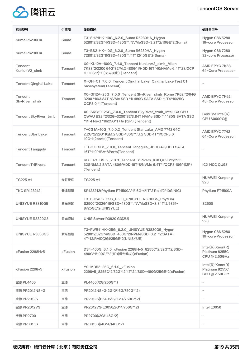

| 标准型号                     | 供应商            | 设备描述                                                                                                                                                       | 处理器型号                                                    |
|--------------------------|----------------|------------------------------------------------------------------------------------------------------------------------------------------------------------|----------------------------------------------------------|
| Suma R5230HA             | Suma           | T3-SH21HK-10G_6.2.0_Suma R5230HA_Hygon<br>5280*2/32G*4/SSD-480G*1/NVMeSSD-3.2T*2/10GE*2(Suma)                                                              | Hygon C86 5280<br>16-core Processor                      |
| Suma R6230HA             | Suma           | T3-BS21HK-10G_6.2.0_Suma R6230HA_Hygon<br>7280*2/32G*8/SSD-480G*1/4T*12/10GE*2(Suma)                                                                       | Hygon C86 7280<br>32-core Processor                      |
| Tencent<br>KunlunV2_slmb | Tencent        | X0-KL12A-100G_7.1.0_Tencent KunlunV2_slmb_Milan<br>7K83*2/3200 64G*32/M.2 480G*1/HDD 16T*40/NVMe 6.4T*28/OCP<br>100G(2P)*1 (无光模块) (Tencent)                | AMD EPYC 7K83<br>64-Core Processor                       |
| Tencent Qinghai Lake     | Tencent        | X-QH-C1_7.0.0_Tencent Qinghai Lake_Qinghai Lake Test C1<br>basesystem(Tencent)                                                                             |                                                          |
| Tencent<br>SkyRiver_slmb | Tencent        | X0-GI12A-25G_7.0.0_Tencent SkyRiver_slmb_Rome 7K62 *2/64G<br>3200 *16/3.84T NVMe SSD *1/480G SATA SSD *1/T4*16/25G<br>OCP3.0 *1(Tencent)                   | AMD EPYC 7K62<br>48-Core Processor                       |
| Tencent SkyRiver_trmb    | Tencent        | X0-SRC19-25G_7.0.0_Tencent SkyRiver_trmb_Intel ICX CPU<br>QWAU ES2 *2/32G-3200*32/3.84T NVMe SSD *1/480G SATA SSD<br>*1/T4 Next *16/25G*1 (标卡2P) (Tencent) | Genuine Intel(R)<br>CPU \$0000%@                         |
| <b>Tencent Star Lake</b> | Tencent        | T-CG1A-10G_7.0.0.2_Tencent Star Lake_AMD 7742 64C<br>2.2G*2/32G*16/M.2 SSD 480G*1/U.2 SSD 4T*1/OCP3.0<br>10G*1(2ports)(Tencent)                            | AMD EPYC 7742<br>64-Core Processor                       |
| <b>Tencent Tanggula</b>  | Tencent        | T-BOX-SC1_7.0.0_Tencent Tanggula_JBOD 4U/HDD SATA<br>16T*110/HBA*8Ports(Tencent)                                                                           |                                                          |
| <b>Tencent TriRivers</b> | Tencent        | RD-TR1-BS-2_7.0.3_Tencent TriRivers_ICX QU98*2/2933<br>32G*8/M.2 SATA 480G/HDD 16T*8/NVMe 6.4T*1/OCP3 10G*1(2P)<br>(Tencent)                               | <b>ICX HCC QU98</b>                                      |
| <b>TG225 A1</b>          | 长虹天宫           | <b>TG225 A1</b>                                                                                                                                            | <b>HUAWEI Kunpeng</b><br>920                             |
| <b>TKC SR123212</b>      | 天津麒麟           | SR123212(Phytium FT1500A*1/16G*4/1T*2 Raid/2*10G NIC)                                                                                                      | Phytium FT1500A                                          |
| UNISYUE R3810G5          | 紫光恒越           | T3-SH24FK-25G_6.2.0_UNISYUE R3810G5_Phytium<br>S2500*2/32G*16/SSD-480G*1/NVMeSSD-3.84T*2/9361-<br>8i/25GE*2(UNISYUE)                                       | S2500                                                    |
| UNISYUE R3820G3          | 紫光恒越           | UNIS Server R3820 G3(2U)                                                                                                                                   | <b>HUAWEI Kunpeng</b><br>920                             |
| UNISYUE R3830G5          | 紫光恒越           | T3-PWB11HK-25G_6.2.0_UNISYUE R3830G5_Hygon<br>5280*2/32G*4/SSD-480G*2/NVMeSSD-3.2T*2/SATA-<br>4T*12/RAID(2G)/25GE*2(UNISYUE)                               | Hygon C86 5280<br>16-core Processor                      |
| xFusion 2288Hv5          | xFusion        | DS4-100G_6.1.0_xFusion 2288Hv5_8255C*2/32G*12/SSD-<br>480G*1/100GE*2(1P)(带光模块)(xFusion)                                                                    | $Intel(R)$ Xeon $(R)$<br>Platinum 8255C<br>CPU @ 2.50GHz |
| xFusion 2298v5           | <b>xFusion</b> | Y0-MD52-25G_6.1.0_xFusion<br>2298v5_8255C*2/32G*12/4T*24/SSD-480G/25GE*2(xFusion)                                                                          | $Intel(R)$ Xeon $(R)$<br>Platinum 8255C<br>CPU @ 2.50GHz |
| 宝德 PL4400                | 宝德             | PL4400(/2G/250G*1)                                                                                                                                         | $\qquad \qquad -$                                        |
| 宝德 PR2012NS-G            | 宝德             | PR2012NS-G(2G*2/16G/750G*12)                                                                                                                               | $\qquad \qquad -$                                        |
| 宝德 PR2012S               | 宝德             | PR2012S(E5405*2/2G*4/750G*12)                                                                                                                              |                                                          |
| 宝德 PR2012VS              | 宝德             | PR2012VS(E3050/2G*4/750G*12)                                                                                                                               | Intel E3050                                              |
| 宝德 PR2700                | 宝德             | PR2700(/2G/146G*2)                                                                                                                                         |                                                          |
| 宝德 PR3015S               | 宝德             | PR3015S(/4G*4/146G*2)                                                                                                                                      |                                                          |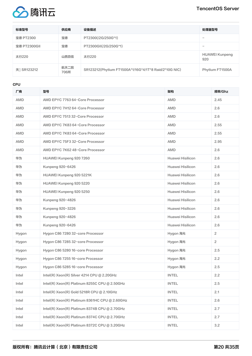

| 标准型号         | 供应商          | 设备描述                                                  | 处理器型号                        |
|--------------|--------------|-------------------------------------------------------|------------------------------|
| 宝德 PT2300    | 宝德           | PT2300(/2G/250G*1)                                    |                              |
| 宝德 PT2300GII | 宝德           | PT2300GII(/2G/250G*1)                                 | $\overline{\phantom{a}}$     |
| 太行220        | 山西百信         | 太行220                                                 | <b>HUAWEI Kunpeng</b><br>920 |
| 天门 SR123212  | 航天二院<br>706所 | SR123212(Phytium FT1500A*1/16G*4/1T*8 Raid/2*10G NIC) | Phytium FT1500A              |

CPU

| 厂商         | 型号                                             | 架构               | 频率/Ghz         |
|------------|------------------------------------------------|------------------|----------------|
| AMD        | AMD EPYC 7763 64-Core Processor                | <b>AMD</b>       | 2.45           |
| AMD        | AMD EPYC 7H12 64-Core Processor                | AMD              | 2.6            |
| <b>AMD</b> | AMD EPYC 7513 32-Core Processor                | <b>AMD</b>       | 2.6            |
| AMD        | AMD EPYC 7K83 64-Core Processor                | <b>AMD</b>       | 2.55           |
| <b>AMD</b> | AMD EPYC 7K83 64-Core Processor                | <b>AMD</b>       | 2.55           |
| <b>AMD</b> | AMD EPYC 75F3 32-Core Processor                | <b>AMD</b>       | 2.95           |
| AMD        | AMD EPYC 7K62 48-Core Processor                | <b>AMD</b>       | 2.6            |
| 华为         | HUAWEI Kunpeng 920 7260                        | Huawei Hisilicon | 2.6            |
| 华为         | Kunpeng 920-6426                               | Huawei Hisilicon | 2.6            |
| 华为         | HUAWEI Kunpeng 920 5221K                       | Huawei Hisilicon | 2.6            |
| 华为         | HUAWEI Kunpeng 920 5220                        | Huawei Hisilicon | 2.6            |
| 华为         | HUAWEI Kunpeng 920 5250                        | Huawei Hisilicon | 2.6            |
| 华为         | Kunpeng 920-4826                               | Huawei Hisilicon | 2.6            |
| 华为         | Kunpeng 920-3226                               | Huawei Hisilicon | 2.6            |
| 华为         | Kunpeng 920-4826                               | Huawei Hisilicon | 2.6            |
| 华为         | Kunpeng 920-6426                               | Huawei Hisilicon | 2.6            |
| Hygon      | Hygon C86 7280 32-core Processor               | Hygon 海光         | $\overline{2}$ |
| Hygon      | Hygon C86 7285 32-core Processor               | Hygon 海光         | $\overline{2}$ |
| Hygon      | Hygon C86 5280 16-core Processor               | Hygon 海光         | 2.5            |
| Hygon      | Hygon C86 7255 16-core Processor               | Hygon 海光         | 2.2            |
| Hygon      | Hygon C86 5285 16-core Processor               | Hygon 海光         | 2.5            |
| Intel      | Intel(R) Xeon(R) Silver 4214 CPU @ 2.20GHz     | <b>INTEL</b>     | 2.2            |
| Intel      | Intel(R) Xeon(R) Platinum 8255C CPU @ 2.50GHz  | <b>INTEL</b>     | 2.5            |
| Intel      | Intel(R) Xeon(R) Gold 5218R CPU @ 2.10GHz      | <b>INTEL</b>     | 2.1            |
| Intel      | Intel(R) Xeon(R) Platinum 8361HC CPU @ 2.60GHz | <b>INTEL</b>     | 2.6            |
| Intel      | Intel(R) Xeon(R) Platinum 8374B CPU @ 2.70GHz  | <b>INTEL</b>     | 2.7            |
| Intel      | Intel(R) Xeon(R) Platinum 8374C CPU @ 2.70GHz  | <b>INTEL</b>     | 2.7            |
| Intel      | Intel(R) Xeon(R) Platinum 8372C CPU @ 3.20GHz  | <b>INTEL</b>     | 3.2            |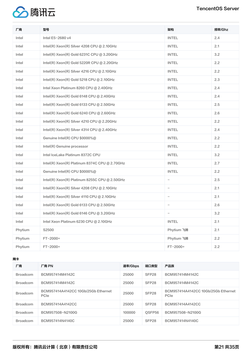

| 厂商      | 型号                                            | 架构                | 频率/Ghz |
|---------|-----------------------------------------------|-------------------|--------|
| Intel   | Intel E5-2680 v4                              | <b>INTEL</b>      | 2.4    |
| Intel   | Intel(R) Xeon(R) Silver 4208 CPU @ 2.10GHz    | <b>INTEL</b>      | 2.1    |
| Intel   | Intel(R) Xeon(R) Gold 6231C CPU @ 3.20GHz     | <b>INTEL</b>      | 3.2    |
| Intel   | Intel(R) Xeon(R) Gold 5220R CPU @ 2.20GHz     | <b>INTEL</b>      | 2.2    |
| Intel   | Intel(R) Xeon(R) Silver 4216 CPU @ 2.10GHz    | <b>INTEL</b>      | 2.2    |
| Intel   | Intel(R) Xeon(R) Gold 5218 CPU @ 2.10GHz      | <b>INTEL</b>      | 2.3    |
| Intel   | Intel Xeon Platinum 8260 CPU @ 2.40GHz        | <b>INTEL</b>      | 2.4    |
| Intel   | Intel(R) Xeon(R) Gold 6148 CPU @ 2.40GHz      | <b>INTEL</b>      | 2.4    |
| Intel   | Intel(R) Xeon(R) Gold 6133 CPU $@$ 2.50GHz    | <b>INTEL</b>      | 2.5    |
| Intel   | Intel(R) Xeon(R) Gold 6240 CPU $@$ 2.60GHz    | <b>INTEL</b>      | 2.6    |
| Intel   | Intel(R) Xeon(R) Silver 4210 CPU @ 2.20GHz    | <b>INTEL</b>      | 2.2    |
| Intel   | Intel(R) Xeon(R) Silver 4314 CPU @ 2.40GHz    | <b>INTEL</b>      | 2.4    |
| Intel   | Genuine Intel(R) CPU \$0000%@                 | <b>INTEL</b>      | 2.2    |
| Intel   | Intel(R) Genuine processor                    | <b>INTEL</b>      | 2.2    |
| Intel   | Intel IceLake Platinum 8372C CPU              | <b>INTEL</b>      | 3.2    |
| Intel   | Intel(R) Xeon(R) Platinum 8374C CPU @ 2.70GHz | <b>INTEL</b>      | 2.7    |
| Intel   | Genuine Intel(R) CPU \$0000%@                 | <b>INTEL</b>      | 2.2    |
| Intel   | Intel(R) Xeon(R) Platinum 8255C CPU @ 2.50GHz |                   | 2.5    |
| Intel   | Intel(R) Xeon(R) Silver 4208 CPU @ 2.10GHz    | $\qquad \qquad -$ | 2.1    |
| Intel   | Intel(R) Xeon(R) Silver 4110 CPU @ 2.10GHz    | $\qquad \qquad -$ | 2.1    |
| Intel   | Intel(R) Xeon(R) Gold 6133 CPU @ 2.50GHz      |                   | 2.6    |
| Intel   | Intel(R) Xeon(R) Gold 6146 CPU @ 3.20GHz      |                   | 3.2    |
| Intel   | Intel Xeon Platinum 6230 CPU @ 2.10GHz        | <b>INTEL</b>      | 2.1    |
| Phytium | S2500                                         | Phytium 飞腾        | 2.1    |
| Phytium | FT-2000+                                      | Phytium 飞腾        | 2.2    |
| Phytium | FT-2000+                                      | FT-2000+          | 2.2    |

网卡

| 厂商              | 厂商 PN                                       | 速率/Gbps | 端口类型               | 产品族                                         |
|-----------------|---------------------------------------------|---------|--------------------|---------------------------------------------|
| <b>Broadcom</b> | BCM957414M4142C                             | 25000   | SFP <sub>28</sub>  | BCM957414M4142C                             |
| <b>Broadcom</b> | BCM957414M4142C                             | 25000   | SFP <sub>28</sub>  | BCM957414M4142C                             |
| <b>Broadcom</b> | BCM957414A4142CC 10Gb/25Gb Ethernet<br>PCIe | 25000   | SFP <sub>28</sub>  | BCM957414A4142CC 10Gb/25Gb Ethernet<br>PCIe |
| <b>Broadcom</b> | BCM957414A4142CC                            | 25000   | SFP <sub>28</sub>  | BCM957414A4142CC                            |
| <b>Broadcom</b> | BCM957508-N2100G                            | 100000  | OSFP <sub>56</sub> | BCM957508-N2100G                            |
| <b>Broadcom</b> | BCM957414N4140C                             | 25000   | SFP <sub>28</sub>  | BCM957414N4140C                             |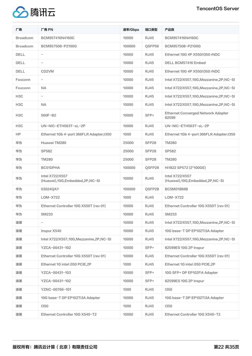



| 厂商               | 厂商 PN                                                        | 速率/Gbps | 端口类型              | 产品族                                                         |
|------------------|--------------------------------------------------------------|---------|-------------------|-------------------------------------------------------------|
| <b>Broadcom</b>  | BCM957416N4160C                                              | 10000   | <b>RJ45</b>       | BCM957416N4160C                                             |
| <b>Broadcom</b>  | BCM957508-P2100G                                             | 100000  | QSFP56            | BCM957508-P2100G                                            |
| <b>DELL</b>      |                                                              | 10000   | <b>RJ45</b>       | Ethernet 10G 4P X550/1350 rNDC                              |
| <b>DELL</b>      | $\qquad \qquad -$                                            | 10000   | <b>RJ45</b>       | DELL BCM57416 Embed                                         |
| <b>DELL</b>      | CD <sub>2</sub> VM                                           | 10000   | <b>RJ45</b>       | Ethernet 10G 4P X550/I350 rNDC                              |
| Foxconn          | $\qquad \qquad -$                                            | 10000   | <b>RJ45</b>       | Intel X722/X557,10G, Mezzanine, 2P, NC-SI                   |
| Foxconn          | <b>NA</b>                                                    | 10000   | <b>RJ45</b>       | Intel X722/X557,10G, Mezzanine, 2P, NC-SI                   |
| H <sub>3</sub> C | $\overline{\phantom{0}}$                                     | 10000   | <b>RJ45</b>       | Intel X722/X557,10G, Mezzanine, 2P, NC-SI                   |
| H <sub>3</sub> C | <b>NA</b>                                                    | 10000   | <b>RJ45</b>       | Intel X722/X557,10G, Mezzanine, 2P, NC-SI                   |
| H <sub>3</sub> C | 560F-B2                                                      | 10000   | SFP+              | Ethernet Converged Network Adapter<br>82599                 |
| H <sub>3</sub> C | UN-NIC-ETH563T-sL-2P                                         | 10000   | <b>RJ45</b>       | UN-NIC-ETH563T-sL-2P                                        |
| HP.              | Ethernet 1Gb 4-port 366FLR Adapter;1350                      | 1000    | <b>RJ45</b>       | Ethernet 1Gb 4-port 366FLR Adapter; 1350                    |
| 华为               | Huawei TM280                                                 | 25000   | SFP <sub>28</sub> | <b>TM280</b>                                                |
| 华为               | <b>SP582</b>                                                 | 25000   | SFP28             | <b>SP582</b>                                                |
| 华为               | <b>TM280</b>                                                 | 25000   | SFP28             | <b>TM280</b>                                                |
| 华为               | BC51DPHA                                                     | 100000  | QSFP28            | Hi1822 SP572 (2*100GE)                                      |
| 华为               | <b>Intel X722/X557</b><br>(Huawei), 10G, Embedded, 2P, NC-SI | 10000   | <b>RJ45</b>       | <b>Intel X722/X557</b><br>(Huawei),10G, Embedded, 2P, NC-SI |
| 华为               | 03024QAY                                                     | 100000  | QSFP28            | BC5M01IBMB                                                  |
| 华为               | LOM-X722                                                     | 1000    | <b>RJ45</b>       | LOM-X722                                                    |
| 华为               | Ethernet Controller 10G X550T (rev 01)                       | 10000   | <b>RJ45</b>       | Ethernet Controller 10G X550T (rev 01)                      |
| 华为               | <b>SM233</b>                                                 | 10000   | <b>RJ45</b>       | <b>SM233</b>                                                |
| 浪潮               |                                                              | 10000   | <b>RJ45</b>       | Intel X722/X557,10G, Mezzanine, 2P, NC-SI                   |
| 浪潮               | Inspur X540                                                  | 10000   | <b>RJ45</b>       | 10G base-T DP EP102Ti3A Adapter                             |
| 浪潮               | Intel X722/X557,10G, Mezzanine, 2P, NC-SI                    | 10000   | <b>RJ45</b>       | Intel X722/X557,10G, Mezzanine, 2P, NC-SI                   |
| 浪潮               | YZCA-00431-102                                               | 10000   | SFP+              | 82599ES 10G 2P Inspur                                       |
| 浪潮               | Ethernet Controller 10G X550T (rev 01)                       | 10000   | <b>RJ45</b>       | Ethernet Controller 10G X550T (rev 01)                      |
| 浪潮               | Ethernet 1G intel i350 PCIE, 2P                              | 1000    | <b>RJ45</b>       | Ethernet 1G intel i350 PCIE, 2P                             |
| 浪潮               | YZCA-00431-103                                               | 10000   | SFP+              | 10G SFP+ DP EP102Fi4 Adapter                                |
| 浪潮               | YZCA-00431-102                                               | 10000   | SFP+              | 82599ES 10G 2P Inspur                                       |
| 浪潮               | YZNC-00766-101                                               | 1000    | <b>RJ45</b>       | 1350                                                        |
| 浪潮               | 10G base-T DP EP102Ti3A Adapter                              | 10000   | <b>RJ45</b>       | 10G base-T DP EP102Ti3A Adapter                             |
| 浪潮               | 1350                                                         | 1000    | <b>RJ45</b>       | 1350                                                        |
| 浪潮               | Ethernet Controller 10G X540-T2                              | 10000   | <b>RJ45</b>       | Ethernet Controller 10G X540-T2                             |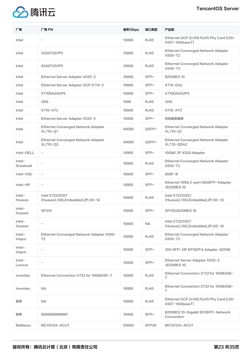



| Ethernet OCP 2x10G RJ45 Phy Card [USI-<br><b>RJ45</b><br>10000<br>Intel<br>$\overline{\phantom{a}}$<br>X557-10GbaseTl<br><b>Ethernet Converged Network Adapter</b><br><b>RJ45</b><br>Intel<br>X550T2G1P5<br>10000<br>X550-T2<br>Ethernet Converged Network Adapter<br>10000<br><b>RJ45</b><br>Intel<br>X540T2G1P5<br>X540-T2<br>Ethernet Server Adapter X520-2<br>SFP+<br>Intel<br>10000<br>82599ES10<br>Ethernet Server Adapter OCP X710-2<br>SFP+<br>X710-DA2<br>10000<br>Intel<br>Intel<br>X710DA2G2P5<br>10000<br>SFP+<br>X710DA2G2P5<br>1350<br>1000<br>1350<br>Intel<br><b>RJ45</b><br>X710-AT2<br>X710-AT2<br>Intel<br>10000<br><b>RJ45</b><br>Ethernet Server Adapter X520-2<br>SFP+<br>非标服务器用<br>Intel<br>10000 |  |
|--------------------------------------------------------------------------------------------------------------------------------------------------------------------------------------------------------------------------------------------------------------------------------------------------------------------------------------------------------------------------------------------------------------------------------------------------------------------------------------------------------------------------------------------------------------------------------------------------------------------------------------------------------------------------------------------------------------------------|--|
|                                                                                                                                                                                                                                                                                                                                                                                                                                                                                                                                                                                                                                                                                                                          |  |
|                                                                                                                                                                                                                                                                                                                                                                                                                                                                                                                                                                                                                                                                                                                          |  |
|                                                                                                                                                                                                                                                                                                                                                                                                                                                                                                                                                                                                                                                                                                                          |  |
|                                                                                                                                                                                                                                                                                                                                                                                                                                                                                                                                                                                                                                                                                                                          |  |
|                                                                                                                                                                                                                                                                                                                                                                                                                                                                                                                                                                                                                                                                                                                          |  |
|                                                                                                                                                                                                                                                                                                                                                                                                                                                                                                                                                                                                                                                                                                                          |  |
|                                                                                                                                                                                                                                                                                                                                                                                                                                                                                                                                                                                                                                                                                                                          |  |
|                                                                                                                                                                                                                                                                                                                                                                                                                                                                                                                                                                                                                                                                                                                          |  |
|                                                                                                                                                                                                                                                                                                                                                                                                                                                                                                                                                                                                                                                                                                                          |  |
| Ethernet Converged Network Adapter<br><b>Ethernet Converged Network Adapter</b><br>QSFP+<br>Intel<br>40000<br>XL710-Q1<br>XL710-Q1                                                                                                                                                                                                                                                                                                                                                                                                                                                                                                                                                                                       |  |
| Ethernet Converged Network Adapter<br>Ethernet Converged Network Adapter<br>QSFP+<br>40000<br>Intel<br>XL710-Q2<br><b>XL710-QDA2</b>                                                                                                                                                                                                                                                                                                                                                                                                                                                                                                                                                                                     |  |
| Intel-DELL<br>10000<br>$SFP+$<br>10GbE 2P X520 Adapter<br>$\overline{\phantom{m}}$                                                                                                                                                                                                                                                                                                                                                                                                                                                                                                                                                                                                                                       |  |
| $Intel-$<br>Ethernet Converged Network Adapter<br><b>RJ45</b><br>10000<br>X550-T2<br>Greatwall                                                                                                                                                                                                                                                                                                                                                                                                                                                                                                                                                                                                                           |  |
| SFP+<br>560F-B<br>Intel-H3C<br>10000<br>$\overline{\phantom{m}}$                                                                                                                                                                                                                                                                                                                                                                                                                                                                                                                                                                                                                                                         |  |
| Ethernet 10Gb 2-port 560SFP+ Adapter<br>SFP+<br>Intel-HP<br>10000<br>$\overline{\phantom{m}}$<br>;82599ES 10                                                                                                                                                                                                                                                                                                                                                                                                                                                                                                                                                                                                             |  |
| <b>Intel X722/X557</b><br><b>Intel X722/X557</b><br>$Intel-$<br><b>RJ45</b><br>10000<br>(Huawei),10G,Embedded,2P,NC-SI<br>(Huawei), 10G, Embedded, 2P, NC-SI<br>Huawei                                                                                                                                                                                                                                                                                                                                                                                                                                                                                                                                                   |  |
| $Intel-$<br>SP310<br>$SFP+$<br>10000<br>SP310;82599ES10<br>Huawei                                                                                                                                                                                                                                                                                                                                                                                                                                                                                                                                                                                                                                                        |  |
| <b>Intel X722/X557</b><br>$Intel-$<br><b>NA</b><br>10000<br>$\overline{\phantom{0}}$<br>Huawei<br>(Huawei), 10G, Embedded, 2P, NC-SI                                                                                                                                                                                                                                                                                                                                                                                                                                                                                                                                                                                     |  |
| Intel-<br><b>Ethernet Converged Network Adapter</b><br>Ethernet Converged Network Adapter X550-<br>10000<br><b>RJ45</b><br>X550-T2<br>T <sub>2</sub><br>Inspur                                                                                                                                                                                                                                                                                                                                                                                                                                                                                                                                                           |  |
| $\text{Intel}$<br>10000<br>SFP+<br>10G SFP+ DP EP102Fi4 Adapter ;82599<br>$\overline{\phantom{m}}$<br>Inspur                                                                                                                                                                                                                                                                                                                                                                                                                                                                                                                                                                                                             |  |
| Intel-<br>Ethernet Server Adapter X520-2<br>10000<br>SFP+<br>;82599ES 10<br>Lenovo                                                                                                                                                                                                                                                                                                                                                                                                                                                                                                                                                                                                                                       |  |
| Ethernet Connection X722 for 10GBASE-<br><b>RJ45</b><br>Inventec<br>Ethernet Connection X722 for 10GBASE-T<br>10000<br>T                                                                                                                                                                                                                                                                                                                                                                                                                                                                                                                                                                                                 |  |
| Ethernet Connection X722 for 10GBASE-<br><b>NA</b><br>10000<br><b>RJ45</b><br>Inventec<br>T.                                                                                                                                                                                                                                                                                                                                                                                                                                                                                                                                                                                                                             |  |
| Ethernet OCP 2x10G RJ45 Phy Card [USI-<br><b>RJ45</b><br>联想<br><b>NA</b><br>10000<br>X557-10GbaseT]                                                                                                                                                                                                                                                                                                                                                                                                                                                                                                                                                                                                                      |  |
| 82599ES 10-Gigabit SFI/SFP+ Network<br>联想<br>0000000MM881<br>10000<br>SFP+<br>Connection                                                                                                                                                                                                                                                                                                                                                                                                                                                                                                                                                                                                                                 |  |
| <b>Mellanox</b><br>MCX512A-ACUT<br>25000<br>SFP28<br>MCX512A-ACUT                                                                                                                                                                                                                                                                                                                                                                                                                                                                                                                                                                                                                                                        |  |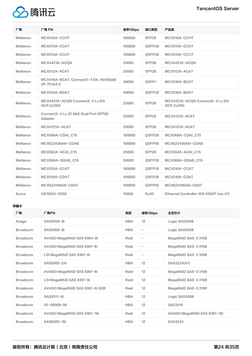

| 厂商              | 厂商 PN                                                | 速率/Gbps | 端口类型        | 产品族                                          |
|-----------------|------------------------------------------------------|---------|-------------|----------------------------------------------|
| Mellanox        | MCX516A-CCHT                                         | 100000  | SFP28       | MCX516A-CCHT                                 |
| Mellanox        | MCX515A-CCAT                                         | 100000  | OSFP28      | MCX515A-CCAT                                 |
| Mellanox        | MCX515A-CCUT                                         | 100000  | OSFP28      | MCX515A-CCUT                                 |
| Mellanox        | MCX4421A-ACON                                        | 25000   | SFP28       | MCX4421A-ACON                                |
| Mellanox        | MCX512A-ACAT                                         | 25000   | SFP28       | MCX512A-ACAT                                 |
| Mellanox        | MCX416A-BCAT, ConnectX-4 EN, 40/56GbE<br>2P, PCle3.0 | 40000   | OSFP+       | MCX416A-BCAT                                 |
| Mellanox        | MCX516A-BDAT                                         | 40000   | QSFP28      | MCX516A-BDAT                                 |
| Mellanox        | MCX4421A-ACQN ConnectX-4 Lx EN<br>OCP, 2x25G         | 25000   | SFP28       | MCX4421A-ACQN ConnectX-4 Lx EN<br>OCP, 2x25G |
| Mellanox        | ConnectX-4 Lx 25 GbE Dual Port SFP28<br>Adapter      | 25000   | SFP28       | MCX4121A-ACAT                                |
| Mellanox        | MCX4121A-ACAT                                        | 25000   | SFP28       | MCX4121A-ACAT                                |
| Mellanox        | MCX566A-CDAI C15                                     | 100000  | OSFP28      | MCX566A-CDAI C15                             |
| Mellanox        | MCX623436AN-CDAB                                     | 100000  | OSFP56      | MCX623436AN-CDAB                             |
| Mellanox        | MCX562A-ACAI C15                                     | 25000   | SFP28       | MCX562A-ACAI C15                             |
| <b>Mellanox</b> | MCX566A-GDAB_C15                                     | 50000   | QSFP28      | MCX566A-GDAB_C15                             |
| Mellanox        | MCX516A-CCAT                                         | 100000  | OSFP28      | MCX516A-CCAT                                 |
| Mellanox        | MCX516A-CDAT                                         | 100000  | OSFP28      | MCX516A-CDAT                                 |
| Mellanox        | MCX623106AN-CDAT                                     | 100000  | OSFP56      | MCX623106AN-CDAT                             |
| Suma            | OE10GI2-X550                                         | 10000   | <b>RJ45</b> | Ethernet Controller 10G X550T (rev 01)       |

### 存储卡

| 厂商              | 厂商PN                           | 类型         | 速率/Gbps                  | 主控芯片                        |
|-----------------|--------------------------------|------------|--------------------------|-----------------------------|
| Avago           | SAS9300-8i                     | <b>HBA</b> | 12                       | Logic SAS3008               |
| <b>Broadcom</b> | SAS9300-8i                     | <b>HBA</b> | $\qquad \qquad -$        | Logic SAS3008               |
| <b>Broadcom</b> | AVAGO MegaRAID SAS 9364-8i     | Raid       | $\overline{\phantom{m}}$ | MegaRAID SAS-3 3108         |
| <b>Broadcom</b> | AVAGO MegaRAID SAS 9361-8i     | Raid       | $\overline{\phantom{m}}$ | MegaRAID SAS-3 3108         |
| <b>Broadcom</b> | LSI MegaRAID SAS 9361-8i       | Raid       | $\overline{\phantom{m}}$ | MegaRAID SAS-3 3108         |
| <b>Broadcom</b> | SAS9305-24i                    | <b>HBA</b> | 12                       | SAS3224(A1)                 |
| <b>Broadcom</b> | AVAGO MegaRAID SAS 9361-8i     | Raid       | 12                       | MegaRAID SAS-3 3108         |
| <b>Broadcom</b> | LSI MegaRAID SAS 9361-8i       | Raid       | 12                       | MegaRAID SAS-3 3108         |
| <b>Broadcom</b> | AVAGO MegaRAID SAS 9361-8i 2GB | Raid       | 12                       | MegaRAID SAS-3 3108         |
| <b>Broadcom</b> | SAS9311-8i                     | <b>HBA</b> | 12                       | Logic SAS3008               |
| <b>Broadcom</b> | 05-50008-00                    | <b>HBA</b> | 12                       | SAS3416                     |
| <b>Broadcom</b> | AVAGO MegaRAID SAS 9361-16i    | Raid       | 12                       | AVAGO MegaRAID SAS 9361-16i |
| <b>Broadcom</b> | SAS9305-16i                    | <b>HBA</b> | 12                       | SAS3224                     |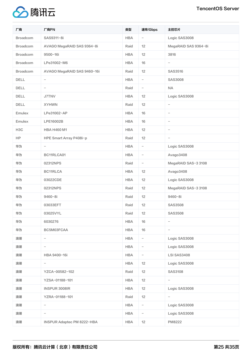

| 厂商               | 厂商PN                              | 类型         | 速率/Gbps                  | 主控芯片                     |
|------------------|-----------------------------------|------------|--------------------------|--------------------------|
| Broadcom         | SAS9311-8i                        | <b>HBA</b> | $\overline{\phantom{a}}$ | Logic SAS3008            |
| <b>Broadcom</b>  | AVAGO MegaRAID SAS 9364-8i        | Raid       | 12                       | MegaRAID SAS 9364-8i     |
| <b>Broadcom</b>  | 9500-16i                          | <b>HBA</b> | 12                       | 3816                     |
| <b>Broadcom</b>  | LPe31002-M6                       | <b>HBA</b> | 16                       | $\overline{\phantom{a}}$ |
| <b>Broadcom</b>  | AVAGO MegaRAID SAS 9460-16i       | Raid       | 12                       | SAS3516                  |
| <b>DELL</b>      | $\overline{\phantom{a}}$          | <b>HBA</b> | $\overline{\phantom{0}}$ | <b>SAS3008</b>           |
| <b>DELL</b>      | $\qquad \qquad -$                 | Raid       | $\overline{\phantom{a}}$ | NA                       |
| <b>DELL</b>      | <b>J7TNV</b>                      | <b>HBA</b> | 12                       | Logic SAS3008            |
| DELL             | <b>XYHWN</b>                      | Raid       | 12                       | $\qquad \qquad -$        |
| Emulex           | LPe31002-AP                       | <b>HBA</b> | 16                       | $\qquad \qquad -$        |
| Emulex           | LPE16002B                         | <b>HBA</b> | 16                       | $\overline{\phantom{a}}$ |
| H <sub>3</sub> C | <b>HBA H460 M1</b>                | <b>HBA</b> | 12                       | $\overline{\phantom{a}}$ |
| <b>HP</b>        | HPE Smart Array P408i-p           | Raid       | 12                       | $\qquad \qquad -$        |
| 华为               | $\overline{\phantom{0}}$          | <b>HBA</b> | $\overline{\phantom{a}}$ | Logic SAS3008            |
| 华为               | BC11RLCA01                        | <b>HBA</b> | $\overline{\phantom{a}}$ | Avago3408                |
| 华为               | 02312NPS                          | Raid       | $\overline{\phantom{a}}$ | MegaRAID SAS-3 3108      |
| 华为               | BC11RLCA                          | <b>HBA</b> | 12                       | Avago3408                |
| 华为               | 03022CDE                          | <b>HBA</b> | 12                       | Logic SAS3008            |
| 华为               | 02312NPS                          | Raid       | 12                       | MegaRAID SAS-3 3108      |
| 华为               | 9460-8i                           | Raid       | 12                       | 9460-8i                  |
| 华为               | 03033EFT                          | Raid       | 12                       | <b>SAS3508</b>           |
| 华为               | 03025VYL                          | Raid       | 12                       | <b>SAS3508</b>           |
| 华为               | 6030276                           | <b>HBA</b> | 16                       | $\overline{\phantom{0}}$ |
| 华为               | BC5M03FCAA                        | <b>HBA</b> | 16                       | $\overline{\phantom{0}}$ |
| 浪潮               | $\overline{\phantom{a}}$          | <b>HBA</b> | $\overline{\phantom{a}}$ | Logic SAS3008            |
| 浪潮               | $\qquad \qquad -$                 | <b>HBA</b> | $\overline{\phantom{m}}$ | Logic SAS3008            |
| 浪潮               | HBA 9400-16i                      | <b>HBA</b> | $\overline{\phantom{a}}$ | <b>LSI SAS3408</b>       |
| 浪潮               | $\overline{\phantom{a}}$          | <b>HBA</b> | 12                       | Logic SAS3008            |
| 浪潮               | YZCA-00582-102                    | Raid       | 12                       | <b>SAS3108</b>           |
| 浪潮               | YZSA-01188-101                    | <b>HBA</b> | 12                       |                          |
| 浪潮               | INSPUR 3008IR                     | <b>HBA</b> | 12                       | Logic SAS3008            |
| 浪潮               | YZRA-01188-101                    | Raid       | 12                       | $\overline{\phantom{0}}$ |
| 浪潮               | $\qquad \qquad -$                 | <b>HBA</b> | $\overline{\phantom{m}}$ | Logic SAS3008            |
| 浪潮               | -                                 | <b>HBA</b> | $\overline{\phantom{a}}$ | Logic SAS3008            |
| 浪潮               | <b>INSPUR Adaptec PM 8222-HBA</b> | <b>HBA</b> | 12                       | <b>PM8222</b>            |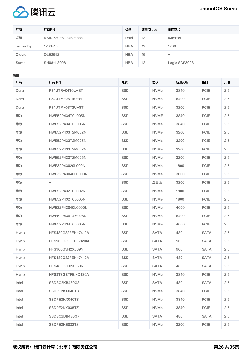

| 厂商        | 厂商PN                  | 类型         | 速率/Gbps | 主控芯片          |
|-----------|-----------------------|------------|---------|---------------|
| 联想        | RAID 730-8i 2GB Flash | Raid       | 12      | $9361 - 8i$   |
| microchip | 1200-16i              | <b>HBA</b> | 12      | 1200          |
| Qlogic    | <b>OLE2692</b>        | <b>HBA</b> | 16      |               |
| Suma      | SH08-L3008            | <b>HBA</b> | 12      | Logic SAS3008 |

硬盘

| 厂商           | 厂商 PN                    | 介质  | 协议          | 容量/Gb | 接口          | 尺寸  |
|--------------|--------------------------|-----|-------------|-------|-------------|-----|
| Dera         | P34UTR-04T0U-ST          | SSD | <b>NVMe</b> | 3840  | <b>PCIE</b> | 2.5 |
| Dera         | P34UTM-06T4U-SL          | SSD | <b>NVMe</b> | 6400  | <b>PCIE</b> | 2.5 |
| Dera         | P34UTM-03T2U-ST          | SSD | <b>NVMe</b> | 3200  | <b>PCIE</b> | 2.5 |
| 华为           | HWE52P434T0L005N         | SSD | <b>NVME</b> | 3840  | <b>PCIE</b> | 2.5 |
| 华为           | HWE52P434T0L005N         | SSD | <b>NVMe</b> | 3840  | <b>PCIE</b> | 2.5 |
| 华为           | HWE52P433T2M002N         | SSD | <b>NVMe</b> | 3200  | <b>PCIE</b> | 2.5 |
| 华为           | HWE52P433T2M005N         | SSD | <b>NVMe</b> | 3200  | <b>PCIE</b> | 2.5 |
| 华为           | HWE52P433T2M002N         | SSD | <b>NVMe</b> | 3200  | <b>PCIE</b> | 2.5 |
| 华为           | HWE52P433T2M005N         | SSD | <b>NVMe</b> | 3200  | <b>PCIE</b> | 2.5 |
| 华为           | HWE32P43020L000N         | SSD | <b>NVMe</b> | 1800  | <b>PCIE</b> | 2.5 |
| 华为           | HWE32P43040L0000N        | SSD | <b>NVMe</b> | 3600  | PCIE        | 2.5 |
| 华为           | $\overline{\phantom{a}}$ | SSD | 企业级         | 3200  | <b>PCIE</b> | 2.5 |
| 华为           | HWE52P432T0L002N         | SSD | <b>NVMe</b> | 1800  | <b>PCIE</b> | 2.5 |
| 华为           | HWE52P432T0L005N         | SSD | <b>NVMe</b> | 1800  | <b>PCIE</b> | 2.5 |
| 华为           | HWE32P43040L0000N        | SSD | <b>NVMe</b> | 4000  | <b>PCIE</b> | 2.5 |
| 华为           | HWE52P436T4M005N         | SSD | <b>NVMe</b> | 6400  | <b>PCIE</b> | 2.5 |
| 华为           | HWE52P434T0L005N         | SSD | <b>NVMe</b> | 4000  | <b>PCIE</b> | 2.5 |
| <b>Hynix</b> | HFS480G32FEH-7410A       | SSD | <b>SATA</b> | 480   | <b>SATA</b> | 2.5 |
| Hynix        | HFS960G32FEH-7A10A       | SSD | <b>SATA</b> | 960   | <b>SATA</b> | 2.5 |
| <b>Hynix</b> | HFS960G3H2X069N          | SSD | <b>SATA</b> | 960   | <b>SATA</b> | 2.5 |
| <b>Hynix</b> | HFS480G32FEH-7410A       | SSD | <b>SATA</b> | 480   | <b>SATA</b> | 2.5 |
| <b>Hynix</b> | HFS480G3H2X069N          | SSD | <b>SATA</b> | 480   | <b>SATA</b> | 2.5 |
| Hynix        | HFS3T8GETFEI-D430A       | SSD | <b>NVMe</b> | 3840  | PCIE        | 2.5 |
| Intel        | SSDSC2KB480G8            | SSD | <b>SATA</b> | 480   | <b>SATA</b> | 2.5 |
| Intel        | SSDPE2KX040T8            | SSD | <b>NVMe</b> | 3840  | PCIE        | 2.5 |
| Intel        | SSDPE2KX040T8            | SSD | <b>NVMe</b> | 3840  | PCIE        | 2.5 |
| Intel        | SSDPF2KX038TZ            | SSD | <b>NVMe</b> | 3840  | <b>PCIE</b> | 2.5 |
| Intel        | SSDSC2BB480G7            | SSD | <b>SATA</b> | 480   | <b>SATA</b> | 2.5 |
| Intel        | SSDPE2KE032T8            | SSD | NVMe        | 3200  | PCIE        | 2.5 |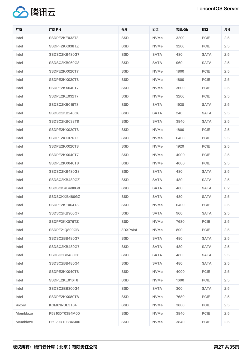

| 厂商       | 厂商 PN          | 介质       | 协议          | 容量/Gb | 接口          | 尺寸  |
|----------|----------------|----------|-------------|-------|-------------|-----|
| Intel    | SSDPE2KE032T8  | SSD      | <b>NVMe</b> | 3200  | PCIE        | 2.5 |
| Intel    | SSDPF2KX038TZ  | SSD      | <b>NVMe</b> | 3200  | <b>PCIE</b> | 2.5 |
| Intel    | SSDSC2KB480G7  | SSD      | <b>SATA</b> | 480   | <b>SATA</b> | 2.5 |
| Intel    | SSDSC2KB960G8  | SSD      | <b>SATA</b> | 960   | <b>SATA</b> | 2.5 |
| Intel    | SSDPE2KX020T7  | SSD      | <b>NVMe</b> | 1800  | <b>PCIE</b> | 2.5 |
| Intel    | SSDPE2KX020T8  | SSD      | <b>NVMe</b> | 1800  | PCIE        | 2.5 |
| Intel    | SSDPE2KX040T7  | SSD      | <b>NVMe</b> | 3600  | PCIE        | 2.5 |
| Intel    | SSDPE2KE032T7  | SSD      | <b>NVMe</b> | 3200  | <b>PCIE</b> | 2.5 |
| Intel    | SSDSC2KB019T8  | SSD      | <b>SATA</b> | 1920  | <b>SATA</b> | 2.5 |
| Intel    | SSDSC2KB240G8  | SSD      | <b>SATA</b> | 240   | <b>SATA</b> | 2.5 |
| Intel    | SSDSC2KB038T8  | SSD      | <b>SATA</b> | 3840  | <b>SATA</b> | 2.5 |
| Intel    | SSDPE2KX020T8  | SSD      | <b>NVMe</b> | 1800  | PCIE        | 2.5 |
| Intel    | SSDPF2KX076TZ  | SSD      | <b>NVMe</b> | 6400  | <b>PCIE</b> | 2.5 |
| Intel    | SSDPE2KX020T8  | SSD      | <b>NVMe</b> | 1920  | <b>PCIE</b> | 2.5 |
| Intel    | SSDPE2KX040T7  | SSD      | <b>NVMe</b> | 4000  | PCIE        | 2.5 |
| Intel    | SSDPE2KX040T8  | SSD      | <b>NVMe</b> | 4000  | PCIE        | 2.5 |
| Intel    | SSDSC2KB480G8  | SSD      | <b>SATA</b> | 480   | <b>SATA</b> | 2.5 |
| Intel    | SSDSC2KB480GZ  | SSD      | <b>SATA</b> | 480   | <b>SATA</b> | 2.5 |
| Intel    | SSDSCKKB480G8  | SSD      | <b>SATA</b> | 480   | <b>SATA</b> | 0.2 |
| Intel    | SSDSCKKB480GZ  | SSD      | <b>SATA</b> | 480   | <b>SATA</b> | 2.5 |
| Intel    | SSDPE2KE064T8  | SSD      | <b>NVMe</b> | 6400  | <b>PCIE</b> | 2.5 |
| Intel    | SSDSC2KB960G7  | SSD      | SATA        | 960   | SATA        | 2.5 |
| Intel    | SSDPF2KX076TZ  | SSD      | <b>NVMe</b> | 7680  | PCIE        | 2.5 |
| Intel    | SSDPF21Q800GB  | 3DXPoint | <b>NVMe</b> | 800   | PCIE        | 2.5 |
| Intel    | SSDSC2BB480G7  | SSD      | <b>SATA</b> | 480   | <b>SATA</b> | 2.5 |
| Intel    | SSDSC2KB480G7  | SSD      | SATA        | 480   | <b>SATA</b> | 2.5 |
| Intel    | SSDSC2BB480G6  | SSD      | SATA        | 480   | SATA        | 2.5 |
| Intel    | SSDSC2BB480G4  | SSD      | <b>SATA</b> | 480   | <b>SATA</b> | 2.5 |
| Intel    | SSDPE2KX040T8  | SSD      | <b>NVMe</b> | 4000  | PCIE        | 2.5 |
| Intel    | SSDPE2KE016T8  | SSD      | <b>NVMe</b> | 1600  | PCIE        | 2.5 |
| Intel    | SSDSC2BB300G4  | SSD      | <b>SATA</b> | 300   | <b>SATA</b> | 2.5 |
| Intel    | SSDPE2KX080T8  | SSD      | <b>NVMe</b> | 7680  | PCIE        | 2.5 |
| Kioxia   | KCM61RUL3T84   | SSD      | <b>NVMe</b> | 3800  | PCIE        | 2.5 |
| Memblaze | P5910DT0384M00 | SSD      | <b>NVMe</b> | 3840  | PCIE        | 2.5 |
| Memblaze | P5920DT0384M00 | SSD      | <b>NVMe</b> | 3840  | PCIE        | 2.5 |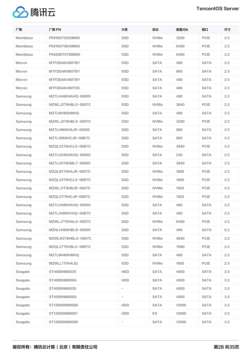

| 厂商       | 厂商 PN              | 介质                       | 协议          | 容量/Gb | 接口          | 尺寸  |
|----------|--------------------|--------------------------|-------------|-------|-------------|-----|
| Memblaze | P5916DT0320M00     | SSD                      | <b>NVMe</b> | 3200  | <b>PCIE</b> | 2.5 |
| Memblaze | P5916DT0640M00     | SSD                      | <b>NVMe</b> | 6400  | <b>PCIE</b> | 2.5 |
| Memblaze | P5920DT0768M00     | SSD                      | <b>NVMe</b> | 6400  | <b>PCIE</b> | 2.5 |
| Micron   | MTFDDAK480TBY      | SSD                      | <b>SATA</b> | 480   | <b>SATA</b> | 2.5 |
| Micron   | MTFDDAK960TBY      | SSD                      | <b>SATA</b> | 960   | <b>SATA</b> | 2.5 |
| Micron   | MTFDDAK480TBY      | SSD                      | <b>SATA</b> | 480   | <b>SATA</b> | 2.5 |
| Micron   | MTFDDAK480TDC      | SSD                      | <b>SATA</b> | 480   | <b>SATA</b> | 2.5 |
| Samsung  | MZ7LH480HAHQ-00005 | SSD                      | <b>SATA</b> | 480   | <b>SATA</b> | 2.5 |
| Samsung  | MZWLJ3T8HBLS-0007C | SSD                      | <b>NVMe</b> | 3840  | <b>PCIE</b> | 2.5 |
| Samsung  | MZ7LM480HMHQ       | SSD                      | <b>SATA</b> | 480   | <b>SATA</b> | 2.5 |
| Samsung  | MZWLJ3T8HBLS-0007C | SSD                      | <b>NVMe</b> | 3200  | <b>PCIE</b> | 2.5 |
| Samsung  | MZ7LH960HAJR-00005 | SSD                      | <b>SATA</b> | 960   | <b>SATA</b> | 2.5 |
| Samsung  | MZ7L3960HCJR-00B7C | SSD                      | <b>SATA</b> | 960   | <b>SATA</b> | 2.5 |
| Samsung  | MZQL23T8HCLS-00B7C | SSD                      | <b>NVMe</b> | 3840  | <b>PCIE</b> | 2.5 |
| Samsung  | MZ7LH240HAHQ-00005 | SSD                      | <b>SATA</b> | 240   | <b>SATA</b> | 2.5 |
| Samsung  | MZ7LH3T8HMLT-00005 | SSD                      | <b>SATA</b> | 3840  | <b>SATA</b> | 2.5 |
| Samsung  | MZQLB1T9HAJR-000TC | SSD                      | <b>NVMe</b> | 1800  | <b>PCIE</b> | 2.5 |
| Samsung  | MZQL23T8HCLS-00B7C | SSD                      | <b>NVMe</b> | 1800  | <b>PCIE</b> | 2.5 |
| Samsung  | MZWLJ1T9HBJR-0007C | SSD                      | <b>NVMe</b> | 1920  | <b>PCIE</b> | 2.5 |
| Samsung  | MZQL21T9HCJR-00B7C | SSD                      | <b>NVMe</b> | 1920  | <b>PCIE</b> | 2.5 |
| Samsung  | MZ7LH480HAHO-00005 | SSD                      | <b>SATA</b> | 480   | <b>SATA</b> | 2.5 |
| Samsung  | MZ7L3480HCHQ-00B7C | SSD                      | SATA        | 480   | <b>SATA</b> | 2.5 |
| Samsung  | MZWLJ7T6HALA-0007C | SSD                      | <b>NVMe</b> | 6400  | <b>PCIE</b> | 2.5 |
| Samsung  | MZNLH480HBLR-00005 | SSD                      | <b>SATA</b> | 480   | <b>SATA</b> | 0.2 |
| Samsung  | MZWLR3T8HBLS-0007C | SSD                      | <b>NVMe</b> | 3840  | PCIE        | 2.5 |
| Samsung  | MZQL27T6HBLA-00B7C | SSD                      | <b>NVMe</b> | 7680  | PCIE        | 2.5 |
| Samsung  | MZ7LM480HMHO       | SSD                      | <b>SATA</b> | 480   | <b>SATA</b> | 2.5 |
| Samsung  | MZWLL1T6HAJQ       | SSD                      | <b>NVMe</b> | 1600  | PCIE        | 2.5 |
| Seagate  | ST4000NM0035       | HDD                      | <b>SATA</b> | 4000  | <b>SATA</b> | 3.5 |
| Seagate  | ST4000NM000A       | <b>HDD</b>               | <b>SATA</b> | 4000  | <b>SATA</b> | 3.5 |
| Seagate  | ST4000NM0035       | $\overline{\phantom{0}}$ | <b>SATA</b> | 4000  | <b>SATA</b> | 3.5 |
| Seagate  | ST4000NM000A       | -                        | <b>SATA</b> | 4000  | <b>SATA</b> | 3.5 |
| Seagate  | ST12000NM0008      | HDD                      | <b>SATA</b> | 12000 | <b>SATA</b> | 3.5 |
| Seagate  | ST12000NM0007      | HDD                      | <b>ES</b>   | 12000 | <b>SATA</b> | 3.5 |
| Seagate  | ST12000NM0008      | -                        | <b>SATA</b> | 12000 | <b>SATA</b> | 3.5 |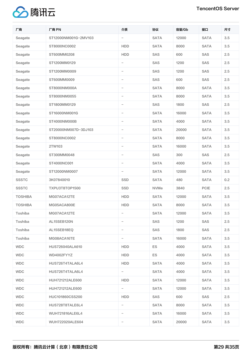

| 厂商             | 厂商 PN                | 介质                       | 协议          | 容量/Gb | 接口          | 尺寸  |
|----------------|----------------------|--------------------------|-------------|-------|-------------|-----|
| Seagate        | ST12000NM001G-2MV103 | $\qquad \qquad -$        | <b>SATA</b> | 12000 | <b>SATA</b> | 3.5 |
| Seagate        | ST8000NC0002         | <b>HDD</b>               | <b>SATA</b> | 8000  | <b>SATA</b> | 3.5 |
| Seagate        | ST600MM0208          | <b>HDD</b>               | SAS         | 600   | SAS         | 2.5 |
| Seagate        | ST1200MM0129         | -                        | SAS         | 1200  | SAS         | 2.5 |
| Seagate        | ST1200MM0009         | $\overline{\phantom{0}}$ | SAS         | 1200  | SAS         | 2.5 |
| Seagate        | ST600MM0009          | $\qquad \qquad -$        | SAS         | 600   | SAS         | 2.5 |
| Seagate        | ST8000NM000A         | -                        | <b>SATA</b> | 8000  | <b>SATA</b> | 3.5 |
| Seagate        | ST8000NM0055         | $\qquad \qquad -$        | <b>SATA</b> | 8000  | <b>SATA</b> | 3.5 |
| Seagate        | ST1800MM0129         | -                        | SAS         | 1800  | SAS         | 2.5 |
| Seagate        | ST16000NM001G        | -                        | <b>SATA</b> | 16000 | <b>SATA</b> | 3.5 |
| Seagate        | ST4000NM000B         | $\overline{\phantom{0}}$ | <b>SATA</b> | 4000  | <b>SATA</b> | 3.5 |
| Seagate        | ST20000NM007D-3DJ103 | -                        | <b>SATA</b> | 20000 | <b>SATA</b> | 3.5 |
| Seagate        | ST8000NC0002         | -                        | <b>SATA</b> | 8000  | <b>SATA</b> | 3.5 |
| Seagate        | 2TW103               | -                        | <b>SATA</b> | 16000 | <b>SATA</b> | 3.5 |
| Seagate        | ST300MM0048          | $\overline{\phantom{0}}$ | SAS         | 300   | SAS         | 2.5 |
| Seagate        | ST4000NC001          | $\qquad \qquad -$        | <b>SATA</b> | 4000  | <b>SATA</b> | 3.5 |
| Seagate        | ST12000NM0007        | $\overline{\phantom{0}}$ | <b>SATA</b> | 12000 | <b>SATA</b> | 3.5 |
| <b>SSSTC</b>   | 3K07840010           | SSD                      | <b>SATA</b> | 480   | <b>SATA</b> | 0.2 |
| <b>SSSTC</b>   | TXPU3T8TOP1500       | SSD                      | <b>NVMe</b> | 3840  | <b>PCIE</b> | 2.5 |
| <b>TOSHIBA</b> | MG07ACA12TE          | <b>HDD</b>               | <b>SATA</b> | 12000 | <b>SATA</b> | 3.5 |
| <b>TOSHIBA</b> | MG05ACA800E          | HDD                      | <b>SATA</b> | 8000  | <b>SATA</b> | 3.5 |
| Toshiba        | MG07ACA12TE          |                          | SATA        | 12000 | SATA        | 3.5 |
| Toshiba        | AL15SEB120N          | $\qquad \qquad -$        | SAS         | 1200  | SAS         | 2.5 |
| Toshiba        | AL15SEB18EQ          | -                        | SAS         | 1800  | SAS         | 2.5 |
| Toshiba        | MG08ACA16TE          | $\overline{\phantom{0}}$ | SATA        | 16000 | SATA        | 3.5 |
| <b>WDC</b>     | HUS726040ALA610      | HDD                      | ES.         | 4000  | <b>SATA</b> | 3.5 |
| <b>WDC</b>     | WD4002FYYZ           | HDD                      | ES.         | 4000  | <b>SATA</b> | 3.5 |
| <b>WDC</b>     | HUS726T4TALA6L4      | HDD                      | <b>SATA</b> | 4000  | <b>SATA</b> | 3.5 |
| <b>WDC</b>     | HUS726T4TALA6L4      | $-$                      | <b>SATA</b> | 4000  | <b>SATA</b> | 3.5 |
| <b>WDC</b>     | HUH721212ALE600      | HDD                      | SATA        | 12000 | <b>SATA</b> | 3.5 |
| <b>WDC</b>     | HUH721212ALE600      | $-$                      | SATA        | 12000 | SATA        | 3.5 |
| <b>WDC</b>     | HUC101860CSS200      | HDD                      | SAS         | 600   | SAS         | 2.5 |
| <b>WDC</b>     | HUS728T8TALE6L4      | $\overline{\phantom{0}}$ | <b>SATA</b> | 8000  | <b>SATA</b> | 3.5 |
| <b>WDC</b>     | WUH721816ALE6L4      | -                        | SATA        | 16000 | <b>SATA</b> | 3.5 |
| <b>WDC</b>     | WUH722020ALE604      | -                        | <b>SATA</b> | 20000 | SATA        | 3.5 |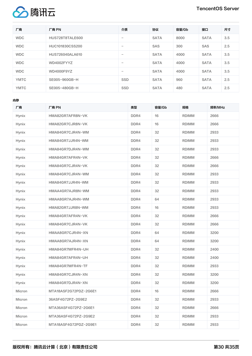



| 厂商          | 厂商 PN           | 介质                              | 协议          | 容量/Gb | 接口          | 尺寸  |
|-------------|-----------------|---------------------------------|-------------|-------|-------------|-----|
| <b>WDC</b>  | HUS728T8TALE600 | $\qquad \qquad \blacksquare$    | <b>SATA</b> | 8000  | <b>SATA</b> | 3.5 |
| <b>WDC</b>  | HUC101830CSS200 | $\qquad \qquad$                 | SAS         | 300   | SAS         | 2.5 |
| <b>WDC</b>  | HUS726040ALA610 | $\qquad \qquad \blacksquare$    | <b>SATA</b> | 4000  | <b>SATA</b> | 3.5 |
| <b>WDC</b>  | WD4002FYYZ      | $\qquad \qquad \blacksquare$    | <b>SATA</b> | 4000  | <b>SATA</b> | 3.5 |
| <b>WDC</b>  | WD4000F9YZ      | $\hspace{0.1mm}-\hspace{0.1mm}$ | <b>SATA</b> | 4000  | <b>SATA</b> | 3.5 |
| <b>YMTC</b> | SE005-960GB-H   | SSD                             | <b>SATA</b> | 960   | <b>SATA</b> | 2.5 |
| <b>YMTC</b> | SE005-480GB-H   | <b>SSD</b>                      | <b>SATA</b> | 480   | <b>SATA</b> | 2.5 |

内存

| 厂商           | 厂商 PN                 | 类型   | 容量/Gb | 规格           | 频率/MHz |
|--------------|-----------------------|------|-------|--------------|--------|
| Hynix        | HMA82GR7AFR8N-VK      | DDR4 | 16    | <b>RDIMM</b> | 2666   |
| Hynix        | HMA82GR7CJR8N-VK      | DDR4 | 16    | <b>RDIMM</b> | 2666   |
| Hynix        | HMA84GR7CJR4N-WM      | DDR4 | 32    | <b>RDIMM</b> | 2933   |
| Hynix        | HMA84GR7JJR4N-WM      | DDR4 | 32    | <b>RDIMM</b> | 2933   |
| Hynix        | HMA84GR7DJR4N-WM      | DDR4 | 32    | <b>RDIMM</b> | 2933   |
| Hynix        | HMA84GR7AFR4N-VK      | DDR4 | 32    | <b>RDIMM</b> | 2666   |
| Hynix        | HMA84GR7CJR4N-VK      | DDR4 | 32    | <b>RDIMM</b> | 2666   |
| Hynix        | HMA84GR7CJR4N-WM      | DDR4 | 32    | <b>RDIMM</b> | 2933   |
| Hynix        | HMA84GR7JJR4N-WM      | DDR4 | 32    | <b>RDIMM</b> | 2933   |
| <b>Hynix</b> | HMAA4GR7AJR8N-WM      | DDR4 | 32    | <b>RDIMM</b> | 2933   |
| Hynix        | HMAA8GR7AJR4N-WM      | DDR4 | 64    | <b>RDIMM</b> | 2933   |
| Hynix        | HMA82GR7JJR8N-WM      | DDR4 | 16    | <b>RDIMM</b> | 2933   |
| Hynix        | HMA84GR7AFR4N-VK      | DDR4 | 32    | <b>RDIMM</b> | 2666   |
| Hynix        | HMA84GR7CJR4N-VK      | DDR4 | 32    | <b>RDIMM</b> | 2666   |
| Hynix        | HMAA8GR7CJR4N-XN      | DDR4 | 64    | <b>RDIMM</b> | 3200   |
| <b>Hynix</b> | HMAA8GR7AJR4N-XN      | DDR4 | 64    | <b>RDIMM</b> | 3200   |
| Hynix        | HMA84GR7MFR4N-UH      | DDR4 | 32    | <b>RDIMM</b> | 2400   |
| Hynix        | HMA84GR7AFR4N-UH      | DDR4 | 32    | <b>RDIMM</b> | 2400   |
| Hynix        | HMA84GR7MFR4N-TF      | DDR4 | 32    | <b>RDIMM</b> | 2933   |
| Hynix        | HMA84GR7CJR4N-XN      | DDR4 | 32    | <b>RDIMM</b> | 3200   |
| Hynix        | HMA84GR7DJR4N-XN      | DDR4 | 32    | <b>RDIMM</b> | 3200   |
| Micron       | MTA18ASF2G72PDZ-2G6E1 | DDR4 | 16    | <b>RDIMM</b> | 2666   |
| Micron       | 36ASF4G72PZ-2G9E2     | DDR4 | 32    | <b>RDIMM</b> | 2933   |
| Micron       | MTA36ASF4G72PZ-2G6E1  | DDR4 | 32    | <b>RDIMM</b> | 2666   |
| Micron       | MTA36ASF4G72PZ-2G9E2  | DDR4 | 32    | <b>RDIMM</b> | 2933   |
| Micron       | MTA18ASF4G72PDZ-2G9E1 | DDR4 | 32    | <b>RDIMM</b> | 2933   |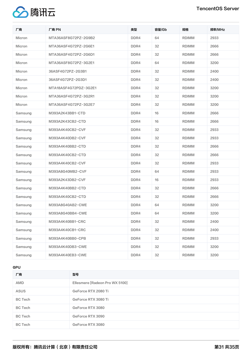

| 厂商            | 厂商 PN                 | 类型               | 容量/Gb | 规格           | 频率/MHz |
|---------------|-----------------------|------------------|-------|--------------|--------|
| <b>Micron</b> | MTA36ASF8G72PZ-2G9B2  | DDR4             | 64    | <b>RDIMM</b> | 2933   |
| Micron        | MTA36ASF4G72PZ-2G6E1  | DDR4             | 32    | <b>RDIMM</b> | 2666   |
| Micron        | MTA36ASF4G72PZ-2G6D1  | DDR <sub>4</sub> | 32    | <b>RDIMM</b> | 2666   |
| Micron        | MTA36ASF8G72PZ-3G2E1  | DDR4             | 64    | <b>RDIMM</b> | 3200   |
| Micron        | 36ASF4G72PZ-2G3B1     | DDR4             | 32    | <b>RDIMM</b> | 2400   |
| Micron        | 36ASF4G72PZ-2G3D1     | DDR4             | 32    | <b>RDIMM</b> | 2400   |
| Micron        | MTA18ASF4G72PDZ-3G2E1 | DDR4             | 32    | <b>RDIMM</b> | 3200   |
| Micron        | MTA36ASF4G72PZ-3G2R1  | DDR4             | 32    | <b>RDIMM</b> | 3200   |
| Micron        | MTA36ASF4G72PZ-3G2E7  | DDR4             | 32    | <b>RDIMM</b> | 3200   |
| Samsung       | M393A2K43BB1-CTD      | DDR <sub>4</sub> | 16    | <b>RDIMM</b> | 2666   |
| Samsung       | M393A2K43CB2-CTD      | DDR4             | 16    | <b>RDIMM</b> | 2666   |
| Samsung       | M393A4K40CB2-CVF      | DDR4             | 32    | <b>RDIMM</b> | 2933   |
| Samsung       | M393A4K40DB2-CVF      | DDR <sub>4</sub> | 32    | <b>RDIMM</b> | 2933   |
| Samsung       | M393A4K40BB2-CTD      | DDR4             | 32    | <b>RDIMM</b> | 2666   |
| Samsung       | M393A4K40CB2-CTD      | DDR4             | 32    | <b>RDIMM</b> | 2666   |
| Samsung       | M393A4K40CB2-CVF      | DDR4             | 32    | <b>RDIMM</b> | 2933   |
| Samsung       | M393A8G40MB2-CVF      | DDR4             | 64    | <b>RDIMM</b> | 2933   |
| Samsung       | M393A2K43DB2-CVF      | DDR4             | 16    | <b>RDIMM</b> | 2933   |
| Samsung       | M393A4K40BB2-CTD      | DDR4             | 32    | <b>RDIMM</b> | 2666   |
| Samsung       | M393A4K40CB2-CTD      | DDR4             | 32    | <b>RDIMM</b> | 2666   |
| Samsung       | M393A8G40AB2-CWE      | DDR4             | 64    | <b>RDIMM</b> | 3200   |
| Samsung       | M393A8G40BB4-CWE      | DDR4             | 64    | <b>RDIMM</b> | 3200   |
| Samsung       | M393A4K40BB1-CRC      | DDR4             | 32    | <b>RDIMM</b> | 2400   |
| Samsung       | M393A4K40CB1-CRC      | DDR4             | 32    | <b>RDIMM</b> | 2400   |
| Samsung       | M393A4K40BB0-CPB      | DDR4             | 32    | <b>RDIMM</b> | 2933   |
| Samsung       | M393A4K40DB3-CWE      | DDR4             | 32    | <b>RDIMM</b> | 3200   |
| Samsung       | M393A4K40EB3-CWE      | DDR4             | 32    | <b>RDIMM</b> | 3200   |

### GPU

| 厂商             | 型묵                             |
|----------------|--------------------------------|
| <b>AMD</b>     | Ellesmere [Radeon Pro WX 5100] |
| <b>ASUS</b>    | GeForce RTX 2080 Ti            |
| <b>BC</b> Tech | GeForce RTX 3080 Ti            |
| <b>BC</b> Tech | GeForce RTX 3080               |
| <b>BC</b> Tech | GeForce RTX 3090               |
| <b>BC</b> Tech | GeForce RTX 3080               |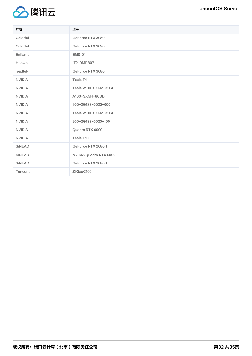

| 厂商            | 型号                     |
|---------------|------------------------|
| Colorful      | GeForce RTX 3080       |
| Colorful      | GeForce RTX 3090       |
| Enflame       | EM0101                 |
| Huawei        | IT21DMPB07             |
| leadtek       | GeForce RTX 3080       |
| <b>NVIDIA</b> | Tesla T4               |
| <b>NVIDIA</b> | Tesla V100-SXM2-32GB   |
| <b>NVIDIA</b> | A100-SXM4-80GB         |
| <b>NVIDIA</b> | 900-2G133-0020-000     |
| <b>NVIDIA</b> | Tesla V100-SXM2-32GB   |
| <b>NVIDIA</b> | 900-2G133-0020-100     |
| <b>NVIDIA</b> | Quadro RTX 6000        |
| <b>NVIDIA</b> | Tesla T10              |
| SINEAD        | GeForce RTX 2080 Ti    |
| <b>SINEAD</b> | NVIDIA Quadro RTX 6000 |
| <b>SINEAD</b> | GeForce RTX 2080 Ti    |
| Tencent       | ZiXiaoC100             |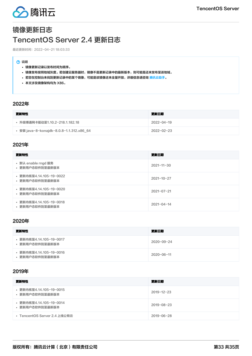

# <span id="page-32-1"></span><span id="page-32-0"></span>镜像更新日志 TencentOS Server 2.4 更新日志

最近更新时间:2022-04-21 18:03:33

#### 7 说明

- 镜像更新记录以发布时间为顺序。
- 镜像发布按照地域灰度。若创建云服务器时,镜像不是更新记录中的最新版本,则可能是还未发布至该地域。
- 若您在控制台未找到更新记录中的某个镜像,可能是该镜像还未全量开放,详细信息请咨询 <mark>腾讯云助手。</mark>
- 本文涉及镜像架构均为 X86。

### 2022年

| 更新特性                                     | 更新日期             |
|------------------------------------------|------------------|
| • 升级博通网卡驱动至1.10.2-218.1.182.18           | $2022 - 04 - 19$ |
| • 安装 java-8-konajdk-8.0.8-1.1.312.x86_64 | $2022 - 02 - 23$ |

# 2021年

| 更新特性                                       | 更新日期             |
|--------------------------------------------|------------------|
| • 默认 enable rngd 服务<br>• 更新用户态软件到至最新版本     | $2021 - 11 - 30$ |
| • 更新内核至4.14.105-19-0022<br>• 更新用户态软件到至最新版本 | $2021 - 10 - 27$ |
| • 更新内核至4.14.105-19-0020<br>• 更新用户态软件到至最新版本 | $2021 - 07 - 21$ |
| • 更新内核至4.14.105-19-0018<br>• 更新用户态软件到至最新版本 | $2021 - 04 - 14$ |

# 2020年

| 更新特性                                       | 更新日期             |
|--------------------------------------------|------------------|
| • 更新内核至4.14.105-19-0017<br>• 更新用户态软件到至最新版本 | $2020 - 09 - 24$ |
| • 更新内核至4.14.105-19-0016<br>• 更新用户态软件到至最新版本 | $2020 - 06 - 11$ |

## 2019年

| 更新特性                                       | 更新日期             |
|--------------------------------------------|------------------|
| • 更新内核至4.14.105-19-0015<br>• 更新用户态软件到至最新版本 | $2019 - 12 - 23$ |
| • 更新内核至4.14.105-19-0014<br>• 更新用户态软件到至最新版本 | $2019 - 08 - 23$ |
| • TencentOS Server 2.4 上线公有云               | $2019 - 06 - 28$ |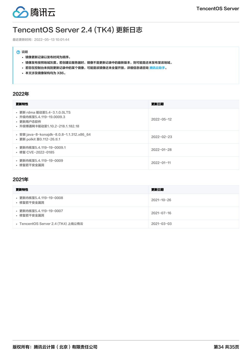

# <span id="page-33-0"></span>TencentOS Server 2.4 (TK4) 更新日志

最近更新时间:2022-05-13 10:01:44

### 7 说明

- 镜像更新记录以发布时间为顺序。
- 镜像发布按照地域灰度。若创建云服务器时,镜像不是更新记录中的最新版本,则可能是还未发布至该地域。
- 若您在控制台未找到更新记录中的某个镜像,可能是该镜像还未全量开放,详细信息请咨询 <u>腾讯云助手</u>。
- 本文涉及镜像架构均为 X86。

### 2022年

| 更新特性                                                                                                   | 更新日期             |
|--------------------------------------------------------------------------------------------------------|------------------|
| • 更新 rdma 驱动至5.4-3.1.0.0LTS<br>• 升级内核至5.4.119-19.0009.3<br>• 更新用户态软件<br>• 升级博通网卡驱动至1.10.2-218.1.182.18 | $2022 - 05 - 12$ |
| • 安装 java-8-konajdk-8.0.8-1.1.312.x86 64<br>• 更新 polkit 至0.112-26.tl.1                                 | $2022 - 02 - 23$ |
| • 更新内核至5.4.119-19-0009.1<br>• 修复 CVE-2022-0185                                                         | $2022 - 01 - 28$ |
| • 更新内核至5.4.119−19−0009<br>• 修复若干安全漏洞                                                                   | $2022 - 01 - 11$ |

### 2021年

| 更新特性                                 | 更新日期             |
|--------------------------------------|------------------|
| • 更新内核至5.4.119-19-0008<br>• 修复若干安全漏洞 | $2021 - 10 - 26$ |
| • 更新内核至5.4.119-19-0007<br>• 修复若干安全漏洞 | $2021 - 07 - 16$ |
| • TencentOS Server 2.4 (TK4) 上线公有云   | $2021 - 03 - 03$ |